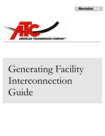



# Generating Facility Interconnection Guide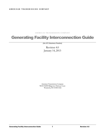A MERICAN TRANSMISSION COMPANY

# Generating Facility Interconnection Guide

*(An ATC Business Practice)*

Revision 4.0 January 14, 2013

American Transmission Company W234 N2000 Ridgeview Parkway Court Waukesha, WI 53188-1022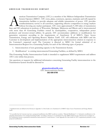merican Transmission Company (ATC) is a member of the Midwest Independent Transmission System Operator (MISO)<sup>1</sup>. ATC owns, plans, constructs, operates, maintains and will expand its transmission facilities to provide adequate and reliable transmission of power. ATC provides nondiscriminatory service to all customers, supporting effective competition in energy markets without favoring any market participant. ATC owns approximately 9, 400 miles of transmission merican Transmission Company (ATC) is a member of the Midwest Independent Transmission<br>System Operator (MISO)<sup>1</sup>. ATC owns, plans, constructs, operates, maintains and will expand its<br>transmission facilities to provide adeq with more than 60 Generating Facilities owned by municipalities, cooperatives, independent power producers and investor-owned utilities. In general, ATC accommodates additions or modifications for generation customers according to the requirements of Attachment X of MISO's Open Access Transmission, Energy and Operating Reserve Markets Tariff. ATC will collaborate with MISO and the Customer in development and implementation of the appropriate interconnection solution in response to the Customer's requested need. The Customer is directed to MISO for formal submittal of an Interconnection Request for a Generating Facility for each of the following types of projects:

- 1. Interconnection of new generating capacity to the Transmission System.
- 2. Modifications<sup>2</sup> to existing interconnected Generating Facilities, as defined by MISO.

This Generating Facility Interconnection Guide is intended to supplement MISO requirements and address ATC's role within that process.

Any questions or requests for additional information concerning Generating Facility interconnection to the Transmission System should be directed to:

> **[gioanotices@atcllc.com](mailto:gioanotices@atcllc.com)** ATC Interconnection Services **262-506-6700**

 $\overline{a}$ 

<sup>1</sup> Capitalized terms are defined in the Glossary in Appendix A of this Guide or in Attachment X of MISO's Open Access Transmission and Energy Markets Tariff.

<sup>&</sup>lt;sup>2</sup> It is possible that the Customer may have a proposed modification that MISO would not consider a "Material Modification" or "substantive modification to the operating characteristics of an existing Generating Facility" according to Section 2.1 of Attachment X of the MISO Tariff, but may otherwise have an impact on the Transmission System or generation-transmission interconnection. Consult Section 7.0 and Appendix B of this Guide for ATC's requirements pertinent to such proposed modifications.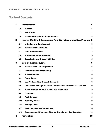# Table of Contents

| 1            | <b>Introduction</b><br>1 |                                                                       |              |  |  |  |
|--------------|--------------------------|-----------------------------------------------------------------------|--------------|--|--|--|
|              | 1.1                      | <b>Purpose</b>                                                        | 1            |  |  |  |
|              | 1.2 <sub>2</sub>         | <b>ATC's Role</b>                                                     | 1            |  |  |  |
|              | 1.3                      | <b>Legal and Regulatory Requirements</b>                              | $\mathbf{2}$ |  |  |  |
| $\mathbf{2}$ |                          | <b>New or Modified Generating Facility Interconnection Process 3</b>  |              |  |  |  |
|              | 2.1                      | <b>Initiation and Development</b>                                     | 3            |  |  |  |
|              | 2.2                      | <b>Interconnection Studies</b>                                        | 3            |  |  |  |
|              | 2.3                      | <b>Data Requirements</b>                                              | $\mathbf{3}$ |  |  |  |
|              | 2.4                      | <b>Interconnection Agreement</b>                                      | 5            |  |  |  |
|              | 2.5                      | <b>Coordination with Local Utilities</b>                              | 5            |  |  |  |
| 3            |                          | <b>Design Requirements</b>                                            | 6            |  |  |  |
|              | 3.1                      | <b>Interconnection Configuration</b>                                  | 6            |  |  |  |
|              | 3.2                      | <b>Demarcation and Ownership</b>                                      | 8            |  |  |  |
|              | 3.3                      | <b>Substation Site</b>                                                | 8            |  |  |  |
|              | 3.4                      | <b>Power Factor</b>                                                   | 8            |  |  |  |
|              | 3.5                      | <b>Low Voltage Ride-Through Capability</b>                            | 9            |  |  |  |
|              | 3.6                      | <b>Generation Voltage, Reactive Power and/or Power Factor Control</b> | 9            |  |  |  |
|              | 3.7                      | <b>Power Quality, Voltage Flicker and Harmonics</b>                   | 9            |  |  |  |
|              | 3.8                      | <b>Frequency</b>                                                      | 9            |  |  |  |
|              | 3.9                      | <b>Fault Current</b>                                                  | 9            |  |  |  |
|              | 3.10                     | <b>Auxiliary Power</b>                                                | 9            |  |  |  |
|              | 3.11                     | <b>Voltage Level</b>                                                  | 9            |  |  |  |
|              | 3.12                     | <b>Basic Impulse Insulation Level</b>                                 | 10           |  |  |  |
|              | 3.13                     | <b>Recommended Customer Step-Up Transformer Configuration</b>         | 10           |  |  |  |
| 4            |                          | <b>Protection</b>                                                     | 10           |  |  |  |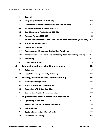|   | 4.1  | <b>General</b>                                                         | 10 |  |  |  |  |  |
|---|------|------------------------------------------------------------------------|----|--|--|--|--|--|
|   | 4.2  | <b>Frequency Protection (IEEE 81)</b>                                  | 12 |  |  |  |  |  |
|   | 4.3  | <b>Customer Breaker Failure Protection (IEEE 50BF)</b>                 | 12 |  |  |  |  |  |
|   | 4.4  | <b>Synchronism Check Relay (IEEE 25)</b>                               | 12 |  |  |  |  |  |
|   | 4.5  | <b>Bus Differential Protection (IEEE 87)</b>                           |    |  |  |  |  |  |
|   | 4.6  | <b>Reverse Power (IEEE 32)</b>                                         | 12 |  |  |  |  |  |
|   | 4.7  | <b>Power Transformer Ground Time Overcurrent Protection (IEEE 51N)</b> | 12 |  |  |  |  |  |
|   | 4.8  | <b>Protection Redundancy</b>                                           | 12 |  |  |  |  |  |
|   | 4.9  | <b>Generator Tripping</b>                                              | 12 |  |  |  |  |  |
|   | 4.10 | <b>Recommended Generator Protection Functions</b>                      | 13 |  |  |  |  |  |
|   | 4.11 | <b>Transmission Line Automatic Reclosing Near Generating Facility</b>  | 14 |  |  |  |  |  |
|   | 4.12 | <b>Grounding</b>                                                       | 14 |  |  |  |  |  |
|   | 4.13 | <b>Equipment Ratings</b>                                               | 15 |  |  |  |  |  |
| 5 |      | <b>Telemetry and Metering Requirements</b>                             | 15 |  |  |  |  |  |
|   | 5.1  | <b>Telemetry</b>                                                       | 15 |  |  |  |  |  |
|   | 5.2  | <b>Local Balancing Authority Metering</b>                              | 16 |  |  |  |  |  |
| 6 |      | <b>Testing, Inspection and Commissioning</b>                           | 16 |  |  |  |  |  |
|   | 6.1  | <b>Testing and Inspection</b>                                          | 16 |  |  |  |  |  |
|   | 6.2  | <b>Initial Transformer Energization</b>                                | 17 |  |  |  |  |  |
|   | 6.3  | <b>Reduction of DC Residual Flux</b>                                   | 17 |  |  |  |  |  |
|   | 6.4  | <b>Generating Facility Synchronization</b>                             | 17 |  |  |  |  |  |
| 7 |      | <b>Requirements after Commercial Operation</b>                         | 17 |  |  |  |  |  |
|   | 7.1  | <b>Operating Guidelines</b>                                            | 17 |  |  |  |  |  |
|   | 7.2  | <b>Generating Facility Voltage Schedule</b>                            | 18 |  |  |  |  |  |
|   | 7.3  | <b>Unit Stability</b>                                                  | 18 |  |  |  |  |  |
|   | 7.4  | <b>System Restoration (Black Start)</b>                                | 18 |  |  |  |  |  |
|   | 7.5  | <b>Maintenance Testing</b>                                             | 18 |  |  |  |  |  |
|   |      |                                                                        |    |  |  |  |  |  |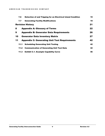|    | 7.6  | <b>Detection of and Tripping for an Electrical Island Condition</b> | 19 |
|----|------|---------------------------------------------------------------------|----|
|    | 7.7  | <b>Generating Facility Modifications</b>                            | 19 |
|    |      | <b>Revision History</b>                                             | 21 |
| 8  |      | <b>Appendix A: Glossary of Terms</b>                                | 22 |
| 9  |      | <b>Appendix B: Generator Data Requirements</b>                      | 26 |
| 10 |      | <b>Generator Data Inventory Matrix</b>                              | 27 |
| 11 |      | <b>Appendix C: Generating Unit Test Requirements</b>                | 42 |
|    | 11.1 | <b>Scheduling Generating Unit Testing</b>                           | 42 |
|    | 11.2 | <b>Communication of Generating Unit Test Data</b>                   | 42 |
|    | 11.3 | <b>Exhibit C.1. Example Capability Curve</b>                        | 46 |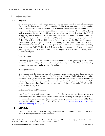# <span id="page-6-0"></span>1 Introduction

#### <span id="page-6-1"></span>1.1 Purpose

As a transmission-only utility, ATC partners with its interconnected and interconnecting Customers for long-term, successful Generating Facility Interconnections. This Generating Facility Interconnection Guide describes the minimum requirements for the connection of generation to the Transmission System. Additional specific requirements will be identified during studies conducted in connection with the particular Customer-proposed project. The Federal Energy Regulatory Commission (FERC) set forth the process for interconnection of generation to the Transmission System in its Order No. 2003 and, for non-synchronous generation, in its Orders No. 661 and 661-A.<sup>3</sup> This process is administered by the Midwest Independent Transmission System Operator (MISO) according to the Attachment X Generator Interconnection Procedures (GIP) of its Open Access Transmission, Energy and Operating Reserve Markets Tariff (Tariff). The GIP govern the interconnection of new or increased generating capacity to the transmission facilities subject to MISO Tariff, including ATC's Transmission System.

#### New Generation

The primary application of this Guide is to the interconnection of new generating capacity. New interconnections at existing substations will be designed utilizing this Guide while accommodating previous interconnection requirements and limitations.

#### Existing Generation

It is essential that the Customer and ATC maintain updated detail on the characteristics of Generating Facilities interconnected to the Transmission System. Modification of an existing Generating Facility may impact the Transmission System, the interconnection service provided to the Customer or other Customers at other locations. Therefore, the Customer is to notify ATC of planned or proposed modification according to Section 7 of this Guide and ATC will provide guidance on how to proceed.

#### Distribution-Connected Generation

This Guide does not apply to generation connected to distribution systems that are themselves interconnected to the Transmission System (generally those operating at voltages below 50 kV). For information concerning such distribution-connected generation, reference the *ATC Load Interconnection Guide* on the ATC Web site at [http://www.atcllc.com/customer](http://www.atcllc.com/customer-relations/connecting-to-the-grid/)[relations/connecting-to-the-grid/.](http://www.atcllc.com/customer-relations/connecting-to-the-grid/)

#### <span id="page-6-2"></span>1.2 ATC's Role

 $\overline{a}$ 

The ATC Interconnection Services group coordinates ATC's collaboration with the Customer and MISO throughout the following processes.

<sup>3</sup> *Standardization of Generation Interconnection Agreements and Procedures*, Order No. 2003 *et seq,* Fed. Reg. Vol. 68, No. 160 (August 19, 2003), Order 661, 111 FERC ¶ 61,353 (June 2, 2005) and Order 661-A, 113 ¶ 61,254 (December 12, 2005).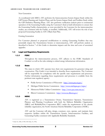New Generation

As coordinated with MISO, ATC performs the Interconnection System Impact Study within the GIP System Planning and Analysis Phase and the System Impact Study and Facilities Study within the GIP Definitive Planning Phase. ATC also performs verification analysis prior to commercial operation of the Generating Facility using the Customer's final as-built information to ensure that the Generating Facility characteristics, as were provided by the Customer for the interconnection studies, are consistent with the Facility, as installed. Additionally, ATC will review the role of any proposed Generating Facility in ATC's Black Start Plan.

Existing Generation

For Customer planned or proposed modifications to existing Generating Facilities that may potentially impact the Transmission System or interconnection, ATC will perform analysis as described in Section 7 of this Guide to determine impacts and the time and costs of associated upgrades.

#### <span id="page-7-0"></span>1.3 Legal and Regulatory Requirements

#### 1.3.1 FERC

Throughout the interconnection process, ATC adheres to the FERC Standards of Conduct<sup>4</sup> as well as the rules relating to critical energy infrastructure information.

#### 1.3.2 State

The states in which ATC operates have their own requirements for generator siting and construction. This Guide is not intended to describe those requirements. The Customer will be responsible for compliance with the specific state requirements and processes. Further information regarding these requirements and processes is available from the pertinent state regulatory agency:

- Public Service Commission of Wisconsin <http://www.psc.wi.gov/>
- Michigan Public Service Commission [http://www.michigan.gov/mpsc/](http://www.michigan.gov/mpsc)
- Minnesota Public Utilities Commission <http://www.puc.state.mn.us/>
- Illinois Commerce Commission <http://www.icc.illinois.gov/>

## 1.3.3 NERC

ATC is registered as a Transmission Owner, Transmission Operator, Transmission Planner, and Planning Coordinator with both the Midwest Reliability Organization (MRO) and ReliabilityFirst Corporation (RFC) under the requirements of the electric reliability organization, the North American Electric Reliability Corporation (NERC).

ATC and the Customer will plan, design, construct, own, operate, and maintain their respective facilities within the Transmission System, Interconnection Facilities, and Generating Facility consistent with Applicable Reliability Standards.

 $\overline{a}$ 

<sup>4</sup> Order No. 888, 61 FR 21540 (May 10, 1996)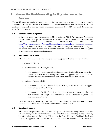# <span id="page-8-0"></span>2 New or Modified Generating Facility Interconnection Process

The specific steps and requirements of the process for interconnecting new generating capacity to ATC's Transmission System are set forth in detail in MISO's Generator Interconnection Procedures (GIP). This guideline is intended to provide further information concerning how ATC can assist the Customer throughout this process.

## <span id="page-8-1"></span>2.1 Initiation and Development

A Customer request for interconnection to MISO begins the MISO Pre-Queue and Application Review process. The specific requirements of the interconnection request are available on the MISO website Generator Interconnection page at [https://www.midwestiso.org/Planning/GeneratorInterconnection/Pages/GeneratorInterconnec](https://www.midwestiso.org/Planning/GeneratorInterconnection/Pages/GeneratorInterconnection.aspx) [tion.aspx.](https://www.midwestiso.org/Planning/GeneratorInterconnection/Pages/GeneratorInterconnection.aspx) In addition to the formal mechanisms, ATC encourages communication throughout the process and offers meeting with prospective generator Customers prior to and during the development of the interconnection request.

#### <span id="page-8-2"></span>2.2 Interconnection Studies

ATC will work with the Customer throughout the study process. The basic process involves:

- a. Application Review
- b. System Planning & Analysis (the SPA)
	- Interconnection System Impact Study includes short circuit, stability and power flow analysis to determine the appropriate Network Upgrades and Interconnection Facilities necessary to accommodate the Customer interconnection request.
- c. Definitive Planning (DPP)
	- Interconnection System Impact Study or Restudy may be required to support transition to Definitive Planning.
	- Interconnection Facilities Study is an engineering report with scope, schedule and cost estimates for design and construction of the Network Upgrades and Interconnection Facilities.

The Customer may consult the MISO GIP for further details on milestones and the scope, timeframe and deposits required for each of the Interconnection Studies.

## <span id="page-8-3"></span>2.3 Data Requirements

Information is required from the Customer during the interconnection study process under the GIP and throughout the life of the interconnected operation of the Generating Facility. Generally, the information required during the GIP is noted in Table 2-1 below. Additional details are included in Appendix B of this Guide. Section 7 of this Guide addresses ATC's process for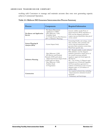working with Customers to manage and maintain accurate data once new generating capacity achieves Commercial Operation.

| <b>Process</b>                      | Components                                                                                                                                                                                                                | <b>Required Information</b>                                                                                                                                                                                                                                                                                                                                                                                                                        |  |
|-------------------------------------|---------------------------------------------------------------------------------------------------------------------------------------------------------------------------------------------------------------------------|----------------------------------------------------------------------------------------------------------------------------------------------------------------------------------------------------------------------------------------------------------------------------------------------------------------------------------------------------------------------------------------------------------------------------------------------------|--|
| Pre-Queue and Application<br>Review | - Pre-Queue Discussions<br>- Application to MISO<br>- Meet Milestone 1 (M1)<br>- Feasibility Study<br>- G-T Study Process Path Decision<br>(SPA or Definitive Planning)                                                   | Generic stability model; Point of<br>Interconnection (POI); impedance to<br>POI; one-line diagram; generation<br>output; step-up transformer data; proof<br>of site control                                                                                                                                                                                                                                                                        |  |
| System Planning &<br>Analysis (SPA) | - System Impact Study                                                                                                                                                                                                     | Generating Facility unit ratings, exciter<br>data, reactance, time constants and<br>curves; step-up transformer data;<br>governor data; excitation system data;<br>Wind Farm specific data.                                                                                                                                                                                                                                                        |  |
| <b>Definitive Planning</b>          | - Meet Milestone 2 (M2)<br>- SPA Review and Potential<br>Restudy (if SPA path taken)<br>- Abbreviated System Impact Study<br>(if SPA path not taken)<br>- Meet Milestone 3 (M3)<br>- Facilities Study<br>- IA Negotiation | M2 - Detailed stability model; definitive<br>POI; definitive one-line diagram:<br>definitive generation output; proof of<br>site control; necessary permits;<br>regulatory approval; board approval;<br>M <sub>2</sub> deposit<br>M3 - one of three: (1) Deposit equal<br>estimated cost of Network Upgrades,<br>(2) Power purchase agreement or<br>evidence of inclusion in state resource<br>adequacy plan, or (3) Evidence of<br>turbine order. |  |
| Construction                        |                                                                                                                                                                                                                           | Any required technical data, including:<br>- Interconnection substation location<br>and detail<br>- Preliminary and final design                                                                                                                                                                                                                                                                                                                   |  |

# **Table 2-1: Midwest ISO Generator Interconnection Process Summary**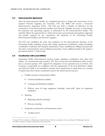#### <span id="page-10-0"></span>2.4 Interconnection Agreement

After the Interconnection Studies are completed and prior to design and construction of any required Network Upgrades, the Customer, ATC and MISO will execute a Generator Interconnection Agreement (GIA). The GIA sets forth a schedule of milestones for the construction of the Interconnection Facilities and Network Upgrades necessary to interconnect the proposed new generating capacity, as determined by the Interconnection Studies. The schedule reflects the expected time to obtain all necessary governmental and regulatory approvals and permits required for the construction and operation of the Generating Facility, Interconnection Facilities, and Network Upgrades.

The GIA also establishes the terms and conditions for the interconnected operation of the Generating Facility including, among other things, operational coordination, outage scheduling, coordination of planned and emergent maintenance, future modifications, billings and payments and other communications and coordination procedures. Some additional detail in this regard is provided in Section 7 of this Guide.

#### <span id="page-10-1"></span>2.5 Coordination with Local Utilities

Generating Facility interconnection projects require significant coordination with other local utilities. As a transmission-only company, ATC does not provide local distribution utility services, but as a business partner, ATC supports the integration of new generation into its territory. The Customer is responsible for compliance with the requirements of the local distribution utilities and while this Guide is not intended to describe those requirements in detail, there are a number of typical issues that warrant consideration early in the interconnection process.

- a. Facilities locations and potential conflicts
	- **•** Overhead distribution facilities
	- Underground distribution facilities
	- Delivery route for large equipment, including "crane-walk" plans for equipment installation
- b. Metering
	- Balancing authority metering<sup>5</sup>
	- Revenue metering
- c. Temporary (construction) and permanent service
	- Auxiliary power

 $\overline{a}$ 

<sup>5</sup> Consult ATC's Coordination of Balancing Authority Business Practice for guidance on the coordination of Balancing Authority Area (BAA) facilities associated with generator interconnections.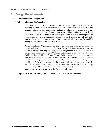# <span id="page-11-0"></span>3 Design Requirements

#### <span id="page-11-1"></span>3.1 Interconnection Configuration

#### 3.1.1 Minimum Configuration

The configuration of the interconnection substation will depend on several factors including, but not limited to the number and size of generating units connected, the nominal voltage of the transmission facilities to which the generation is being interconnected, the number of transmission outlets either existing or required and whether or not any of the transmission lines are part of a black-start restoration path. The configuration of the Interconnection Facilities will be determined through the study process. However, the exact transmission line and substation locations may be modified during the detailed design and regulatory process.

As shown in Figure 3-1, for interconnection to the Transmission System at voltages of 100 kV and above, the minimum configuration for the ATC interconnection substation will be a three-position ring bus. Straight bus configurations may be considered for interconnection at voltages below 100 kV, subject to the provisions of Section 7.6 of this Guide. As shown in Figure 3-2, an ATC-owned circuit breaker and disconnect switch in series with the Customer's transformer circuit breaker as part of the ATC Interconnection Facilities will be required for any straight bus configuration. As shown in both Figure 3-1 and Figure 3-2, for all interconnections, the Customer will, at minimum, procure, install, own and maintain a circuit breaker and disconnect switch between the Point of Change of Ownership (PCO) and the Customer's transformer (step-up or auxiliary) to transmission voltage to be located in the Customer's substation.

#### **Figure 3-1: Minimum configuration for interconnection at 100 kV and above**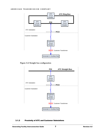

**Figure 3-2: Straight bus configuration**



#### 3.1.2 Proximity of ATC and Customer Substations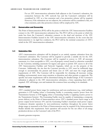For an ATC interconnection substation built adjacent to the Customer's substation, the connection between the ATC network bus and the Customer's substation will be considered by ATC as a bus extension and a bus protection scheme will be required. However, if the substations are not adjacent, the connection will be considered a line, not a bus extension, and a line protection scheme will be employed by ATC.

#### <span id="page-13-0"></span>3.2 Demarcation and Ownership

The Point of Interconnection (POI) will be the point at which the ATC Interconnection Facilities connect to the ATC interconnection substation bus. The PCO will be at the point at which the strain bus from the Customer's substation connects to the dead end structure of the ATC Interconnection Facilities located in the ATC interconnection substation. In the event that the interconnection is via rigid bus conductor, the PCO will be the terminal connection of ATC's switch in the ATC interconnection substation.

#### <span id="page-13-1"></span>3.3 Substation Site

ATC's interconnection substation will be designed as an entirely separate substation from the Customer's substation. The Customer will be required to provide a suitable site for the ATC interconnection substation. The Customer will be required to convey to ATC all necessary easements, in a form acceptable to ATC, over all property owned, leased or otherwise controlled by the Customer, including easements for ingress and egress to permit ATC access to all of the ATC Interconnection Facilities and Network Upgrades, which are on the property of the Customer. Additionally, the site that the Customer provides to ATC must be sufficiently large enough to accommodate the present and future uses of ATC and meet the rough grading requirements of ATC. The Customer will be responsible for obtaining all necessary zoning, building, environmental, storm water retention or detention and other permits or approvals. The specific real estate requirements will be determined during the detailed design. If the Customer's substation is adjacent to the ATC interconnection substation, a fence separating them will be required. ATC will design, own and maintain this common fence according to its standards.

#### <span id="page-13-2"></span>3.4 Power Factor

 $\overline{a}$ 

ATC's standard power factor range for synchronous and non-synchronous (e.g., wind turbines) generation is 0.95 leading (when a Generating Facility is consuming reactive power from the Transmission System) to 0.90 lagging (when a Generating Facility is supplying reactive power to the Transmission System)<sup>6</sup>. The Generating Facility must be capable of maintaining a composite power delivery at the Point of Interconnection across ATC's standard power factor range at all power output levels between 10% and the Generating Facility's maximum rated power output. Continuous dynamic operation by non-synchronous machines throughout the power factor design range as measured at the Point of Interconnection may be required if the Interconnection Studies identify this requirement. Such operation will account for the net effect of all energy production devices on the Customer's side of the PCO.

dynamic generator response.

<sup>6</sup> These values have been approved by the FERC for use by ATC. (cf. FERC Orders ER05-1475 and ER06-866)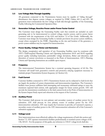#### <span id="page-14-0"></span>3.5 Low Voltage Ride-Through Capability

All generators connected to the Transmission System must be capable of "riding through" disturbances that depress system voltages, as required by FERC Orders 661-A and 693. All generators must communicate the low voltage as-built ride-through capability of the Generating Facility following the Commercial Operation Date.

#### <span id="page-14-1"></span>3.6 Generation Voltage, Reactive Power and/or Power Factor Control

The Customer must design the Generating Facility such that controls are included on each generating unit to be interconnected to control voltage, reactive power, and/or power factor consistent with the requirements of the GIA and Section 7.2 of this Guide. Additionally, the Customer must design the Generating Facility to include provisions for power system stabilizers, except where exempted by the FERC. Depending on the size and location of the generator, a power system stabilizer may be required for interconnection.

#### <span id="page-14-2"></span>3.7 Power Quality, Voltage Flicker and Harmonics

The design, energization and operation of any Generating Facilities must be consistent with ATC's Tariff-required Planning Criteria and Operating Instructions 04-01 and 04-02 regarding power quality including harmonics; permissible voltage deviations, flicker and distortion; and distortion of current waveforms as measured at the Point of Interconnection. ATC's Planning Criteria and Operating Instructions are available upon request.

#### <span id="page-14-3"></span>3.8 Frequency

The interconnected Transmission System has a nominal operating frequency of 60 Hz. The Customer will install both generation controls and protective relaying equipment necessary to maintain proper Transmission System frequency (cf. Section [4.2\)](#page-17-0).

## <span id="page-14-4"></span>3.9 Fault Current

Customer facilities connected to ATC's Transmission System can be subjected to fault levels that are largely the product of system characteristics and interconnection impedance. The Customer's facilities must possess sufficient fault interrupting and momentary withstand ratings to meet the maximum expected fault current, with appropriate margin for future system growth. ATC will provide the transmission contribution to the fault current levels at the Point of Interconnection in the System Impact Study report and otherwise at the request of the Customer.

## <span id="page-14-5"></span>3.10 Auxiliary Power

The Customer shall procure its own primary and secondary sources of auxiliary power for its substation. ATC shall procure its own primary source of auxiliary power for the ATC interconnection substation. ATC may require the Customer to provide, at Customer's expense, a secondary source of auxiliary power to the ATC interconnection substation off of the Customer's substation equipment.

## <span id="page-14-6"></span>3.11 Voltage Level

New interconnections must effectively address the voltage requirements of both this section and Section 7.2. ATC operates transmission facilities predominantly at nominal system voltages of 69, 138, 345 kV. For the purposes of this guide, any reference to 138 kV voltage levels shall also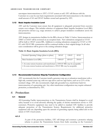encompass interconnections to ATC's 115 kV system as well. ATC will discuss with the Customer on a case-by-case basis requirements associated with interconnections to the relatively small amount of 161 and 230 kV facilities owned and operated by ATC.

#### <span id="page-15-0"></span>3.12 Basic Impulse Insulation Level

ATC and the Customer must ensure that all equipment is adequately protected from excessive system over-voltages. This includes selection of equipment Basic Impulse Insulation Level (BIL) and protective devices (e.g. surge arresters) to achieve proper insulation coordination across the interconnection.

ATC designs its transmission facilities for the BILs shown in Table 3.1 below. Interconnections at 230kV or 161kV will be reviewed on an exception basis. New substations energized at 115 kV will be built to 138 kV system BIL. Additions to existing substations energized at 115 kV or 138 kV; with 550 kV BIL construction will be continued similar to their original design. In all other cases consideration will be given to the existing substation design.

# **Table 3.1: Basic Impulse Insulation Levels (BIL)**

| Nominal Operating Voltage (phase-to-phase)                                    | 345 kV                 | 138 kV                | 69 kV            |
|-------------------------------------------------------------------------------|------------------------|-----------------------|------------------|
|                                                                               |                        |                       |                  |
| Basic Insulation Level (BIL)                                                  | $1300 \,\mathrm{kV}^1$ | $650 \,\mathrm{kV^2}$ | $350 \text{ kV}$ |
|                                                                               |                        |                       |                  |
| 1. In some remote locations and transformers a 1050 kV BIL may be acceptable. |                        |                       |                  |
| 2. In some remote locations and transformers a 550 kV BIL may be acceptable.  |                        |                       |                  |
|                                                                               |                        |                       |                  |

## <span id="page-15-1"></span>3.13 Recommended Customer Step-Up Transformer Configuration

ATC recommends that the Customer install a generator step-up or substation transformer with a high-side, nominal center tap, with two taps above and two taps below, each set at 2.5% of the nominal voltage. ATC also recommends a high-side grounded wye, transformer bank for interconnection of a generating unit. Any other transformer configuration may require enhanced protection, as determined by ATC.

# <span id="page-15-2"></span>4 Protection

## <span id="page-15-3"></span>4.1 General

All Generating Facility interconnections to the Transmission System shall be designed to avoid safety hazards or to avoid adversely affecting the quality of electric transmission service to ATC customers. Protective equipment may need to be added to standard ATC facilities to provide adequate protection of the Transmission System. Requirements for additional protective equipment will vary depending upon the amount of generating capacity being added and on the nature of ATC's local system.

## 4.1.1

As part of the protection facilities, ATC will design and construct a protective relaying scheme to protect the Transmission System from faults occurring on the Customer's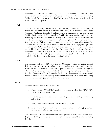Interconnection Facilities, the Generating Facility, ATC Interconnection Facilities, or the Transmission System. The Customer will be responsible for protecting the Generating Facility and all Customer Interconnection Facilities from faults occurring on its facilities or the Transmission System.

#### 4.1.2

The Customer will design, install, set, and maintain all protective devices necessary to protect the Generating Facility in accordance with ANSI/IEEE standards, Good Utility Practice(s), Applicable Reliability Standards, the Interconnection System Impact and Facilities Studies and applicable standards and guides. Protective devices, including those performing the protective functions required by ATC in accordance with this Guide, will be installed by the Customer to disconnect the Generating Facility from the Transmission System whenever a fault, abnormal operating condition or equipment failure occurs. The Customer will ensure that such protective devices and related equipment properly coordinate with ATC protective equipment, both locally and remotely, and provide a comparable level of protection to the Generating Facility and the Customer Interconnection Facilities as is provided by ATC for the ATC Interconnection Facilities and Transmission System. The specific requirements and specific protective devices to be installed will be determined in the Interconnection Studies.

# 4.1.3

The Customer will allow ATC to review the Generating Facility protection, control design and settings, and their coordination, where applicable, with the ATC protective devices prior to and after the Commercial Operation Date. ATC reserves the right to refuse to allow the Customer to initiate the tender of energy to the Transmission System if, in the judgment of ATC, the Generating Facility protection devices, controls or overall protection methods do not adequately prevent the Generating Facility from introducing or causing an adverse impact on the Transmission System.

## 4.1.4

Protective relays utilized by the Customer shall:

- a. Meet or exceed ANSI/IEEE standards for protective relays (i.e., C37.90-1989, C37.90.1, C37.90.2, and C37.90.3).
- b. Have the appropriate documentation covering application, testing, maintenance, and service.
- c. Give positive indication of what has caused a trip (targets).
- d. Have a means of testing that does not require disturbance to wiring (e.g. a drawout case, test-blocks, test switches, etc.).

The Customer shall use microprocessor-based protective relays that include selfdiagnostic abilities, sequence of events, event-recording capabilities, and operating flexibility.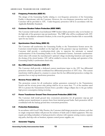#### <span id="page-17-0"></span>4.2 Frequency Protection (IEEE 81)

The design of the Generating Facility relating to over-frequency protection of the Generating Facility is discretionary with the Customer. However, the over-frequency protection used by the Customer will be provided to ATC. Under-frequency protection will be in accordance with the Applicable Reliability Standards.

#### <span id="page-17-1"></span>4.3 Customer Breaker Failure Protection (IEEE 50BF)

The Customer shall install a local dedicated 50BF breaker failure protective relay on its breaker on the high-side of the generator step-up transformer. The 50BF relay will be coordinated with ATC in order to trip adjacent substation breakers, in the event the generator breaker fails to successfully open for any reason.

#### <span id="page-17-2"></span>4.4 Synchronism Check Relay (IEEE 25)

The Customer will synchronize the Generating Facility to the Transmission System across the Customer-owned breaker installed on the high-side of the generator step-up transformer. The Customer shall provide a synchronism-check relay to supervise the automatic or manual synchronization of the Generating Facility to the Transmission System. Automatic synchronismcheck relays will contain the manufacturer's optional voltage monitoring functions and supervise the closing of the circuit breaker. ATC will be entitled to review the settings and operation of the Generating Facility's synchronism check relay.

#### <span id="page-17-3"></span>4.5 Bus Differential Protection (IEEE 87)

The Customer shall provide a dedicated current transformer input to the ATC bus differential protection scheme to provide coordinated bus differential protection of ATC's bus. This current transformer shall be placed in a manner to ensure that the bus differential protection overlaps the generator bus or step-up transformer protection.

## <span id="page-17-4"></span>4.6 Reverse Power (IEEE 32)

The protection system for all combustion turbine generators connected to the Transmission System and the reverse power relay pickup shall be set no more than -7% of the machine rated MVA to protect the Transmission System from a possible voltage collapse due to the gas turbine high power consumption during motoring.

## <span id="page-17-5"></span>4.7 Power Transformer Ground Time Overcurrent Protection (IEEE 51N)

The Customer shall install ground time overcurrent protection for all generator step-up and auxiliary power transformers to protect them from internal ground faults. Such protection will be coordinated with the backup ground time overcurrent protection.

#### <span id="page-17-6"></span>4.8 Protection Redundancy

In accordance with Good Utility Practice, the Customer shall design protection schemes such that no single component failure will prevent the isolation of faults and/or failed equipment. This may require providing redundant or backup protective schemes with separate sensing sources, separate trip paths, dual trip coils on breakers, separate control power supplies, etc.

#### <span id="page-17-7"></span>4.9 Generator Tripping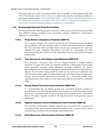Each generating unit of the Generating Facility must be capable of disconnecting itself from ATC's Transmission System in the event of a system fault, abnormal operating condition or equipment or system failure. If the Generating Facility is a wind farm, it must be disconnected at the collector bus to remove the ground source of the collector to eliminate its contribution to a system fault, abnormal operating condition or equipment or system failure.

#### <span id="page-18-0"></span>4.10 Recommended Generator Protection Functions

ATC recommends the following protective functions, which may provide the Generating Facility with additional backup protection from transmission relaying malfunctions, misoperations, equipment or system failure.

## 4.10.1 Phase Distance (Impedance) Protection (IEEE 21)

The Customer's distance relay zone that extends into the Transmission System should be time-coordinated with line protective relays to assure transmission protection operates first. The time delay will be set higher than a second zone clearing time for a line fault (typically 20 cycles). Impedance protection is provided for a generating unit when transmission line(s) that connect it to the Transmission System are protected with phase distance relays.

## 4.10.2 Time Overcurrent with Voltage Control/Restraint (IEEE 51V)

The Customer's overcurrent relays that are voltage-controlled or voltage-restrained should be set below load current for adequate sensitivity to Transmission System faults while restraining operation under emergency overload conditions. To prevent miscoordination with transmission relaying, overcurrent relays should be sufficiently timedelayed. The time-delay setting should be based on the worst-case coordination with ATC protective relays, which is usually a delayed trip with breaker failure clearing times. Backup time overcurrent protection is provided for a Generating Facility when transmission line(s) that connect it to the transmission grid are protected by overcurrent relays.

## 4.10.3 Backup Ground Time Overcurrent Protection (IEEE 51N)

It is recommended that any backup ground time overcurrent protection operate for ground faults at the end of all transmission lines coming out of the Generating Facility and be set to coordinate with the slowest ground fault protection on the Transmission System. This relay is typically installed in the high-side neutral of the generator step-up transformer.

## 4.10.4 Negative Sequence Current (Unbalanced Load) Protection (IEEE 46)

The Customer should apply a negative sequence time overcurrent relay to protect the Generating Facility from external unbalanced conditions such as system phase-to-phase faults and open conductors that can damage a generating unit(s).

## 4.10.5 Out-of-Step (Loss of Synchronism) Protection (IEEE 78)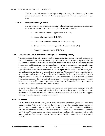The Customer shall ensure that each generating unit is capable of separating from the Transmission System before an "out-of-step condition" or loss of synchronism can occur.

#### 4.10.6 Voltage Balance (IEEE 60)

The Customer should ensure the following voltage-dependent protective functions are blocked when a loss of fuse is detected to prevent relaying misoperation:

- a. Phase distance (impedance) protection (IEEE 21);
- b. Under-voltage protection (IEEE 27);
- c. Loss of field (under-excitation) protection (IEEE 40);
- d. Time overcurrent with voltage control/restraint (IEEE 51V);
- e. Under-frequency protection (IEEE 81).

#### <span id="page-19-0"></span>4.11 Transmission Line Automatic Reclosing Near Generating Facility

The automatic re-closing of breakers on ATC transmission lines can be potentially damaging to Customer equipment that is in close electrical proximity to the lines. As a general policy, ATC will not eliminate automatic reclosing of overhead transmission lines near a Generating Facility because that could significantly affect the reliability of service to transmission customers. In order to mitigate possible negative effects of line automatic reclosing on generating facilities, ATC typically will not reclose lines for the most severe three-phase faults on the Transmission System and will reclose a line first at a terminal remote from the Generating Facility bus, followed by synchronism check reclosing of the breaker at the Generating Facility bus. Automatic reclosing is single-shot and is blocked should a fault be of a permanent nature. ATC may install additional equipment to minimize the potentially adverse effects of automatic reclosing. This usually consists of communication and/or control equipment to disconnect the Generating Facility (or to confirm that it is disconnected) before an ATC line is reclosed.

In cases where the ATC interconnection substation has two transmission outlets, a line side single-phase voltage-sensing potential device shall be installed at the remote terminal of each line. Additionally, the automatic reclosing scheme at the remote terminal of each line shall support disabling automatic reclosing via supervisory control.

#### <span id="page-19-1"></span>4.12 Grounding

The Customer must design, install, and maintain grounding facilities to ground the Customer's Interconnection Facilities. ATC reserves the right to approve the grounding system design to ensure that the grounding system properly protects ATC's Interconnection Facilities. Additionally, ATC will determine the required short circuit ratings for all of the ATC Interconnection Facilities and Network Upgrades during the detailed design of such facilities. The Customer shall provide appropriately sized or short circuit-rated Interconnection Facilities comparable to those required by ATC.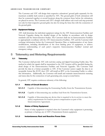The Customer and ATC will design their respective substations' ground grids separately for the maximum available fault current as specified by ATC. The ground grids of both substations will then be connected together at several locations along the common fence before the substations are placed in-service. The Customer and ATC's designs shall address safe touch and step potential not only for their respective ground grids, but also for along the fence line with the connection of the ground grids.

# <span id="page-20-0"></span>4.13 Equipment Ratings

ATC shall determine the individual equipment ratings for the ATC Interconnection Facilities and Network Upgrades during the detailed design of the facilities in accordance with its design standards and the Interconnection Studies. The Customer shall size its Interconnection Facilities to appropriately coordinate with the ATC Interconnection Facilities. ATC and the Customer shall exchange information before the Commercial Operation Date or implementation of any future modifications, including identification of the most limiting piece of equipment, to achieve common understanding of each party's respective Interconnection Facilities' normal and emergency ratings.

# <span id="page-20-1"></span>5 Telemetry and Metering Requirements

# <span id="page-20-2"></span>5.1 Telemetry

The Customer shall provide ATC with real-time analog and digital Generating Facility data. The method in which the signals shall be transmitted to the ATC location will be specified during the detail design of the Interconnection Facilities and Network Upgrades. The Customer shall provide the data in a format acceptable to ATC. If the Customer cannot supply the data in an acceptable format like ICCP, then ATC will install an RTU at the Generating Facility to collect this information. Additionally, the Customer will install and maintain interconnection metering and status data for the connection of each generating unit, except as noted below.

In general, ATC requires continuous telemetry of the following:

## 5.1.1 Status of Circuit Breakers

- **5.1.1.1** Capable of disconnecting the Generating Facility from the Transmission System.
- **5.1.1.2** Capable of disconnecting any auxiliary load from the Transmission System.
- **5.1.1.3** Capable of disconnecting any device that is required to be in service to meet the unit(s) requirements for reactive power compensation as part of the Interconnection Agreement.

## 5.1.2 Status of Relay Equipment

Status of relay equipment is required when the Customer's relay equipment is protecting, as primary or backup, any of ATC's Transmission System equipment.

## 5.1.3 Instantaneous Real and Reactive Power Data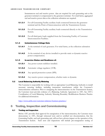Instantaneous real and reactive power data are required for each generating unit at the generator terminal or compensated to the generator terminal. For wind farms, aggregated real and reactive power data at the collection substation are required.

- **5.1.3.1** For all Generating Facility auxiliary loads connected between the generator terminal and the Point of Interconnection with the Transmission System.
- **5.1.3.2** For all Generating Facility auxiliary loads connected directly to the Transmission System.
- **5.1.3.3** For all third-party loads supplied from the Generating Facility of Customer Interconnection Facilities.

## 5.1.4 Instantaneous Voltage Data

- **5.1.4.1** At the terminal of each generator. For wind farms, at the collection substation bus.
- **5.1.4.2** At the terminal of any device installed to provide static or dynamic reactive power compensation.

#### 5.1.5 In-service Status and Readiness of:

- **5.1.5.1** Any power system stabilizer installed.
- **5.1.5.2** Automatic voltage regulator (AVR).
- **5.1.5.3** Any special protection system (SPS).
- **5.1.5.4** Any reactive power compensation, whether static or dynamic.

## <span id="page-21-0"></span>5.2 Local Balancing Authority Metering

The Customer is responsible for working with an appropriate Local Balancing Authority to install necessary metering facilities, including instrument transformers within the Customer's interconnection substation. Prior to energizing the interconnection via the Transmission System, the Customer must provide evidence of a Balancing Authority Agreement to ATC. See ATC's Coordination of Local Balancing Authority Metering Boundary Modifications Business Practice for additional information:

<http://www.atcllc.com/customer-relations/business-practices/>

# <span id="page-21-1"></span>6 Testing, Inspection and Commissioning

## <span id="page-21-2"></span>6.1 Testing and Inspection

Before ATC provides final approval for energization of the interconnection, the Customer must demonstrate to ATC, through witnessed tests and/or certified test documentation, that the Generating Facility, and each generating unit, will not have adverse impact on the operation of the Transmission System. Such tests and inspections will include pre-energization testing of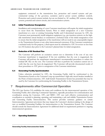equipment connected to the transmission bus, protection and control systems and precommercial testing of the governor, excitation and/or power system stabilizer controls. Protection and control systems include, but are not limited to, AC auxiliary, DC systems, relaying systems, potential and current circuits, and communication systems.

#### <span id="page-22-0"></span>6.2 Initial Transformer Energization

Installation and commissioning of a new Customer transformer will require the initial energization to occur from the Transmission System. Prior to initial energization of a new Customer transformer at a new or existing Generating Facility and if determined necessary by ATC, the Customer must permanently install mitigation equipment (e.g., pre-insertion resistors on the highside transformer circuit breaker) or commission a technical study of the initial energization event to ensure that the initial energization of the transformer will not result in any unacceptable impact to the Transmission System or any other interconnected customers. If the Customer commissions a technical study for this purpose, a final report must be submitted to ATC for review no less than ten (10) business days prior to the Customer's planned date for initial energization.

## <span id="page-22-1"></span>6.3 Reduction of DC Residual Flux

The Customer will perform an excitation current test to determine if the core of any new Customer transformer is magnetized. If the test establishes that the core is magnetized, the Customer will perform the transformer manufacturer's recommended procedures to reduce the residual DC flux on the core. The Customer will then re-perform the excitation current test to verify that the core has been de-magnetized. The Customer will provide documented results of these procedures to ATC prior to energization of the Customer transformer.

## <span id="page-22-2"></span>6.4 Generating Facility Synchronization

Unless otherwise permitted by ATC, the Generating Facility shall be synchronized to the Transmission System at the Customer's step-up transformer's high-side circuit breaker installed at the Point of Interconnection. ATC shall furnish Transmission System bus potentials that may be used by the Customer for synchronizing the Generating Facility to the Transmission System.

# <span id="page-22-3"></span>7 Requirements after Commercial Operation

The GIA (per Section 2.4) establishes the terms and conditions for the interconnected operation of the Generating Facility after achieving Commercial Operation, especially procedures for communication and coordination among the Customer, ATC, and MISO. ATC sees such effective communication and coordination as essential to planning, operating, and maintaining a safe and reliable Transmission System and Generating Facility Interconnection. This section provides summary guidance on certain Interconnection Agreement provisions that may impact the Customer's decision-making in the design of new or modified Generating Facilities for interconnection to the Transmission System. The Customer should consult the Interconnection Agreement for additional detail on requirements pertinent to ongoing interconnected operations.

## <span id="page-22-4"></span>7.1 Operating Guidelines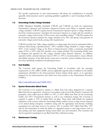The specific requirements of each interconnection will dictate the establishment of mutually agreeable interconnection and/or operating guidelines applicable to each Generating Facility, if necessary.

#### <span id="page-23-0"></span>7.2 Generating Facility Voltage Schedule

NERC Mandatory Reliability Standards VAR-001 and VAR-002 set forth the requirements Transmission Operators and Generator Operators/Owners must follow to maintain network voltage schedules. VAR-001 requires that the Transmission Operator specify a voltage schedule at the Point of Interconnection "and direct the Generator Operator to comply with the schedule in automatic voltage control mode (AVR in service and controlling voltage)." VAR-002 requires that the Generator Operator maintain the voltage schedule set by ATC and operate each generator in automatic voltage control mode, among other requirements.

VAR-001 provides that "[t]he voltage schedule is a voltage target that must be maintained within a tolerance band during a specified period." ATC's standard voltage schedule is a target voltage of 102% of the nominal voltage at the Point of Interconnection within a maximum permissible range of 95% to 105% until ATC specifies a new voltage schedule. The Generating Facility must be designed and operated for this voltage schedule unless directed otherwise. In addition, operation within a desired tolerance band of 100% to 105% is recommended to ensure efficient and reliable operation of the bulk electric system due to real time system conditions that may not have been specifically modeled in the planning horizon.

#### <span id="page-23-1"></span>7.3 Unit Stability

The Customer shall operate the Generating Facility in accordance with the operating requirements of ATC, MISO, NERC, and any applicable regional entity in addition to the stability requirements identified in the Interconnection System Impact Study report, or its equivalent, prepared for the interconnection and which have been posted on the Transmission Provider's OASIS at:

<http://oasis.midwestiso.org/OASIS/ATC/>

## <span id="page-23-2"></span>7.4 System Restoration (Black Start)

The Customer is not required to operate as a Black Start Unit unless designated by a separate Black Start Service agreement. However, in accordance with Good Utility Practice, Customer will participate, when called upon by MISO or ATC, in ATC's Black Start Plan for the Generating Facility and ATC's Transmission System, as well as any verification testing. The Customer is required to supply to ATC its facility black out plans. These plans shall include the equalized impedance of the systems within the Generating Facility auxiliary system to large motors expected to be started during emergency conditions along with the appropriate time-domain modeling assumptions for each large motor to be used by ATC to confirm ATC's Black Start Plan. ATC will use this information to study the ability of a degraded system to start large motors, such as fans, pumps, and other equipment during system black outs and restoration. The Customer will also be expected to participate in any Black Start Plan verification testing.

#### <span id="page-23-3"></span>7.5 Maintenance Testing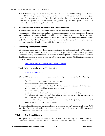After commissioning of the Generating Facility, periodic maintenance, testing, modification or troubleshooting of Customer equipment shall be done with consideration of the impact to the Transmission System. Protective relay testing that can trip any element of the Transmission System shall be discussed and approved by the ATC system operator 10 business days prior to testing of equipment.

#### <span id="page-24-0"></span>7.6 Detection of and Tripping for an Electrical Island Condition

In circumstances where the Generating Facility has no governor controls and the transmission system design could result in an islanding condition for the outage of two transmission elements, ATC requires the Customer to implement additional protection systems as mutually agreed by the Customer and ATC to prevent generation from being isolated or islanded with interconnected load. Alternatively, ATC will require the Customer to curtail their generation for circumstances that could result in an island condition with the next contingency.

#### <span id="page-24-1"></span>7.7 Generating Facility Modifications

It is of critical importance for reliable interconnection service and operation of the Transmission System that the Generator Owner communicate to ATC proposed and planned changes to the Generating Facility, Interconnection Facilities and related equipment. Communication of changes should occur as early as possible using the ATC Generating Facilities Modification Notification (GFMN) form found at:

<http://www.atcllc.com/documents/GFMNForm.doc>

The GFMN form may be sent to ATC via email at:

[gioanotices@atcllc.com](mailto:gioanotices@atcllc.com) 

The GFMN is to be used to communicate events including, but not limited to, the following:

- $\bullet$ Plant/Unit modifications due to emergency changes.
- Planned/Proposed plant/unit modifications.
- $\bullet$ Plant/unit retirements – note that the GFMN does not replace other notification requirements; it is in addition to those requirements.
- Plant/unit development
- The submittal of unit verification data created as a result of periodic testing.
- $\bullet$ The submittal of generator data/information, as required, for reporting data related to NERC and/or Regional Entity standards.
- The submittal of generator data/information as required reporting due to MISO  $\bullet$  .  $\bullet$ transmission and/or energy market needs.

If proposed modifications are determined to have an impact on the Transmission System, ATC and the Customer will collaborate on the appropriate solution(s) to enable successful implementation of the proposed unit modification.

## 7.7.1 The Annual Review

ATC performs an Annual Generator Review to ensure the accuracy of its information for Generating Facilities connected to the Transmission System. Information obtained via the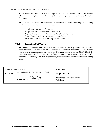Annual Review also contributes to ATC filings made to RFC, MRO and NERC. The primary ATC functions using the Annual Review results are Planning, System Protection and Real Time Operations.

ATC will send an email communication to Generator Owners requesting the following information to initiate the Annual Review process:

- Any planned retirements of plants/units  $\bullet$  .
- Any planned development of new plants/units  $\bullet$  .
- Any modifications made in the prior year for which ATC is unaware
- Any modifications planned or proposed for the future
- Special data reviews such as capability curve confirmations  $\bullet$

## 7.7.2 Generating Unit Testing

ATC desires to support and take part in the Generator Owner's generator reactive power capability verification testing. Coordination between the Generator Owner and ATC will provide a better test environment. ATC encourages the Generator Owner to use the NERC MOD 25 format to report the results, the same format Generator Owners use to report this data to NERC. Appendix C, Generating Unit Test Requirements, contains detailed information for coordinating testing.

| Effective Date: $1/14/2013$ |                                           | <b>Revision: 4.0</b>                          |
|-----------------------------|-------------------------------------------|-----------------------------------------------|
| TITLE:                      | Generating Facility Interconnection Guide | Page 20 of 46<br>Tom Finco, Director External |
|                             | Approved by: Ton Fines                    | Relations                                     |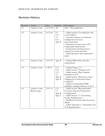# <span id="page-26-0"></span>Revision History

| Revision | Author        | Date           | Section | Description                            |
|----------|---------------|----------------|---------|----------------------------------------|
| 1.0      | Andrew Cotter | 12-16-08       | All     | New / first publication                |
|          |               |                |         |                                        |
| 2.0      | Andrew Cotter | $10-12-09$     | 2.5     | - Added section "Coordination with     |
|          |               |                | 3.1.1   | Local Utilities"                       |
|          |               |                | 3.3     | - 3-position ring bus as minimum       |
|          |               |                | 4.12    | configuration for most                 |
|          |               |                | App. B  | interconnections                       |
|          |               |                |         | - Substation site must meet ATC        |
|          |               |                |         | rough-grade requirements               |
|          |               |                |         | - Synchronism checking devices         |
|          |               |                |         | required in certain instances          |
|          |               |                |         | - Added generator data requirement     |
|          |               |                |         | detail                                 |
|          |               |                |         |                                        |
| 2.1      | Andrew Cotter | $12 - 21 - 09$ | App. B  | - Updated Black Start unit data        |
|          |               |                |         | requirements                           |
|          |               |                |         |                                        |
| 3.0      | Andrew Cotter | $6 - 28 - 10$  | 3.1.1   | - Updated Figure 3.2                   |
|          |               |                | 3.12    | - Added section "Voltage Level"        |
|          |               |                | 3.13    | - Added section "Basic Impulse         |
|          |               |                | 7.6     | Insulation Level"                      |
|          |               |                | App. B  | - Added section "Detection of and      |
|          |               |                | App. B  | Tripping for an Electrical Island      |
|          |               |                |         | Condition"                             |
|          |               |                |         | - Added corresponding NERC             |
|          |               |                |         | reliability standard reference to B.13 |
| 4.0      | Andrew Cotter | $12-07-12$     | 3.13    | - Added section "Recommended           |
|          | Randy Lange   |                | 7.7     | Customer Step-Up Transformer           |
|          |               |                | App. B  | Configuration"                         |
|          |               |                | App. C  | - Added section 7.7 "Generating        |
|          |               |                |         | Facility Modifications"                |
|          |               |                |         | - Modified Generator Data Inventory    |
|          |               |                |         | Matrix                                 |
|          |               |                |         | - Added Appendix C "Generating Unit    |
|          |               |                |         | Test Requirements"                     |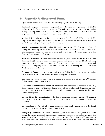# <span id="page-27-0"></span>8 Appendix A: Glossary of Terms

*Any capitalized terms not defined herein will have the meanings set forth in the MISO Tariff.*

**Applicable Regional Reliability Organization:** the reliability organization of NERC applicable to the Balancing Authority of the Transmission System to which the Generating Facility is directly interconnected. ATC is a registered member of both the Midwest Reliability Organization (MRO) and ReliabilityFirst Corporation (RFC).

**Applicable Reliability Standards:** the requirements and guidelines of NERC, the Applicable Regional Reliability Organization, and the Balancing Authority of the Transmission System to which the Generating Facility is directly interconnected.

**ATC Interconnection Facilities:** all facilities and equipment owned by ATC from the Point of Change of Ownership to the Point of Interconnection as identified in the GIA. The ATC Interconnection Facilities are sole-use facilities and do not include Network Upgrades or the Customer's Interconnection Facilities.

**Balancing Authority:** an entity responsible for managing an electric system area (a Balancing Authority Area) bounded by interconnection metering and telemetry; and capable of controlling generation to maintain its interchange schedule with other Balancing Authority Areas and contributing to frequency regulation and which has received certification by NERC or a Regional Reliability Council of NERC.

**Commercial Operation:** the status of a Generating Facility that has commenced generating electricity for sale, excluding electricity generated during Trial Operation.

**Customer:** any entity that already has interconnected or proposes to interconnect a Generating Facility with the Transmission System.

**Customer's Interconnection Facilities:** all facilities and equipment, as identified in the GIA, that are located between the Generating Facility and the Point of Change of Ownership, including any equipment necessary to physically and electrically interconnect the Generating Facility to the Transmission System.

**Electric Reliability Organization:** the North American Electric Reliability Corporation authorized by the FERC to promulgate, seek approval for, and enforce Mandatory Reliability Standards.

**Electrical Island:** An isolated operating condition which couples a generator(s) to local load with no external connection to the Transmission System.

**Emergency Condition:** a condition or situation: (1) that in the reasonable judgment of the Party making the claim is imminently likely to endanger, or is contributing to the endangerment of, life, property, or public health and safety; or (2) that, in the case of either Midwest ISO or ATC, is imminently likely (as determined in a non-discriminatory manner) to cause a material adverse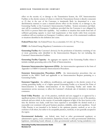effect on the security of, or damage to the Transmission System, the ATC Interconnection Facilities or the electric systems of others to which the Transmission System is directly connected; or (3) that, in the case of the Customer, is imminently likely (as determined in a nondiscriminatory manner) to cause a material adverse effect on the security of, or damage to, the Generating Facility or the Customer's Interconnection Facilities. System restoration and blackstart will be considered Emergency Conditions; provided that the Customer is not obligated by this LGIA to possess black-start capability. Any condition or situation that results from lack of sufficient generating capacity to meet load requirements or that results solely from economic conditions will not constitute an Emergency Condition, unless one of the enumerated conditions or situations identified in this definition also exists.

**Federal Power Act:** the Federal Power Act, as amended, 16 U.S.C. §§ 791a *et seq*.

FERC: the Federal Energy Regulatory Commission or its successor.

**Generating Facility:** the Customer's device(s) for the production of electricity consisting of one or more generating units identified in the Interconnection Request, but not including the Customer's Interconnection Facilities.

**Generating Facility Capacity:** the aggregate net capacity of the Generating Facility where it includes multiple generating units at the Point of Interconnection.

**Generator Interconnection Agreement (GIA):** the interconnection agreement in the form of Appendix 6 of MISO's Generator Interconnection Procedures.

**Generator Interconnection Procedures (GIP):** the interconnection procedures that are included in the MISO Tariff and applicable to an Interconnection Request pertaining to a Generating Facility.

Generator Upgrades: the additions, modifications, and upgrades to the electric system of an existing generating facility or of a higher queued Generating Facility at or beyond the Point of Interconnection to facilitate interconnection of the Generating Facility and render the transmission service necessary to affect the Customer's wholesale sale of electricity in interstate commerce.

**Good Utility Practice:** any of the practices, methods and acts engaged in or approved by a significant portion of the electric industry during the relevant time period, or any of the practices, methods and acts which, in the exercise of reasonable judgment in light of the facts known at the time the decision was made, could have been expected to accomplish the desired result at a reasonable cost consistent with good business practices, reliability, safety and expedition. Good Utility Practice is not intended to be limited to the optimum practice, method, or act to the exclusion of all others, but rather to be acceptable practices, methods, or acts generally accepted in the region.

**Governmental Authority:** any federal, state, local or other governmental regulatory or administrative agency, court, commission, department, board, or other governmental subdivision, legislature, rulemaking board, tribunal, or other governmental authority having jurisdiction over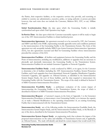the Parties, their respective facilities, or the respective services they provide, and exercising or entitled to exercise any administrative, executive, police, or taxing authority or power; provided, however, that such term does not include the Customer, Midwest ISO, ATC, or any Affiliate thereof.

**Initial Synchronization Date:** the date upon which the Generating Facility is initially synchronized and upon which Trial Operation may begin.

**In-Service Date:** the date upon which the Customer reasonably expects it will be ready to begin use of the ATC Interconnection Facilities to obtain backfeed power.

**Interconnection Agreement:** the agreement executed or to be executed by ATC, the Customer, and MISO and filed at the FERC; representing mutually agreeable terms and conditions pertinent to the interconnection of the Generating Facility to the Transmission System. The form of this agreement not only acceptably includes MISO's pro forma Generator Interconnection Agreement (GIA), but also agreements executed and filed for Generating Facilities whose interconnection preceded the existence of the GIA.

**Interconnection Facilities:** all facilities and equipment between the Generating Facility and the Point of Interconnection, including any modification, additions or upgrades that are necessary to physically and electrically interconnect the Generating Facility to the Transmission System. Interconnection Facilities do not include Generator Upgrades or Network Upgrades.

**Interconnection Facilities Study:** a study conducted by MISO, or its agent, for the Customer to determine a list of facilities (including the ATC Interconnection Facilities, System Protection Facilities, and if such upgrades have been determined, Network Upgrades, Distribution Upgrades, Generator Upgrades, and upgrades on Affected Systems, as identified in the Interconnection System Impact Study), the cost of those facilities, and the time required to interconnect the Generating Facility with the Transmission System. The scope of the study is defined in Section 8 of MISO Generator Interconnection Procedures.

**Interconnection Feasibility Study:** a preliminary evaluation of the system impact of interconnecting the Generating Facility to the Transmission System, the scope of which is described in Section 6 of MISO Generator Interconnection Procedures.

**Interconnection Request:** a Customer's request, in the form of Appendix 1 to the Generator Interconnection Procedures, to interconnect a new Generating Facility, or to increase the capacity of, or make a Material Modification to the operating characteristics of, an existing Generating Facility that is interconnected with the Transmission System.

**Interconnection Study:** any of the following studies: the Interconnection Feasibility Study, the Interconnection System Impact Study, and the Interconnection Facilities Study, or the Restudy of any of the above, described in the Generator Interconnection Procedures.

**Interconnection System Impact Study:** an engineering study that evaluates the impact of the proposed interconnection on the safety and reliability of Transmission System and, if applicable, an Affected System. The study will identify and detail the system impacts that would result if the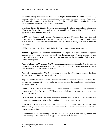Generating Facility were interconnected without project modifications or system modifications, focusing on the Adverse System Impacts identified in the Interconnection Feasibility Study, or to study potential impacts, including but not limited to those identified in the Scoping Meeting as described in the Generator Interconnection Procedures.

**Mandatory Reliability Standards:** those standards promulgated and approved by NERC as the ERO, or any Regional Entity authorized to do so, as ratified and approved by the FERC that are applicable to ATC and the Customer.

**MISO:** the Midwest Independent Transmission System Operator, Inc., the Regional Transmission Organization that administers the tariff and provides transmission and energy market services over the transmission facilities of its transmission-owning members in interstate commerce.

**NERC:** the North American Electric Reliability Corporation or its successor organization.

**Network Upgrades:** the additions, modifications, and upgrades to the Transmission System required at or beyond the point at which the Interconnection Facilities connect to the Transmission System to accommodate the interconnection of the Generating Facility to the Transmission System.

**Point of Change of Ownership (PCO):** the point, as set forth in Appendix A to the GIA or Exhibit 1 of an Interconnection Agreement, where the Customer's Interconnection Facilities connect to the ATC Interconnection Facilities.

**Point of Interconnection (POI):** the point at which the ATC Interconnection Facilities connect to the ATC interconnection substation bus.

**Regional Entity:** the entity or entities that have entered into a delegation agreement with NERC and that have responsibility for the audit and investigation of the compliance with Mandatory Reliability Standards.

**Tariff:** MISO Tariff through which open access transmission service and Interconnection Service are offered, as filed with the FERC, and as amended or supplemented from time to time, or any successor tariff.

**Transmission Operator:** any entity responsible for the reliability of its "local" transmission system, and that operates or directs the operations of the transmission facilities.

**Transmission System:** the facilities owned by ATC and controlled or operated by MISO and ATC at voltages ≥69 kV and are used to provide transmission service or Wholesale Distribution Service under the Tariff.

**Trial Operation:** the period during which the Customer is engaged in on-site test operations and commissioning of the Generating Facility prior to Commercial Operation.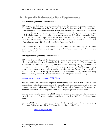# <span id="page-31-0"></span>9 Appendix B: Generator Data Requirements

# **New Generating Facility Interconnections**

ATC requires the following minimum information from the Customer to properly model any Generating Facility connected to the Transmission System. The Customer will submit most of the information below during Interconnection Studies, but some of the information is not available until later in the design of a Generating Facility. In addition, during design and operation, changes in design information may occur when systems are manufactured, finalized or upgraded in the field. If information has changed since the Customer's last communication with ATC regarding any particular Generating Facility's characteristic data, the Customer will provide to ATC updated information to ensure ATC effectively models the Generating Facility.

The Customer will resubmit data outlined in the Generator Data Inventory Matrix below whenever any of the data changes (*e.g.*, from typical/estimated to approved/final or due to a design modification).

# **Existing Generating Facility Interconnections**

ATC's effective modeling of the transmission system is also impacted by modifications to existing, already-interconnected Generating Facilities and/or generating units. The generator data requirements of Appendix B are not only applicable to new Generating Facility Interconnections but also to any proposed modifications made to existing Generating Facilities (*e.g.*, exciters, governors, protection systems, main or auxiliary transformers, etc). Such modifications will be communicated to ATC according to the terms of the Interconnection Agreement and using ATC's Generating Facilities Modification Notification (GFMN) form available online;

## <http://www.atcllc.com/documents/GFMNForm.doc>

ATC will review the Customer's proposed modification(s) and ascertain the impact of such modifications on the transmission system. If proposed modifications are determined to have an impact on the transmission system, ATC and the Customer will collaborate on the appropriate solution(s) to enable successful implementation of the proposed generator modification.

The Customer will also utilize the GFMN form for submittal of generator data/information updated as a result of periodic testing, especially as required by NERC or Regional Entity standards.

Use the GFMN to communicate any questions about proposed modifications to an existing Generating Facility and send this to ATC using the following e-mail address:

[gioanotices@atcllc.com](mailto:gioanotices@atcllc.com)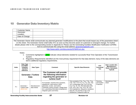# 10 Generator Data Inventory Matrix

| <b>Customer Name:</b> |  |
|-----------------------|--|
| Generator             |  |
| Location:             |  |
| Date of Change:       |  |
|                       |  |

The Generator Owner shall communicate any planned generator modifications to the plant that would impact any of the parameters listed on this sheet. The Generator Owner shall notify ATC as soon as they become aware of a planned or emergent change. For further details please refer to the corresponding section in Appendix B. Please use the Generating Facilities Modification Notification (GFMN) form to communicate this using the email address [gioanotices@atcllc.com.](mailto:gioanotices@atcllc.com)

<http://www.atcllc.com/documents/GFMNForm.doc>

<span id="page-32-0"></span>Notes:

- 1. Comments highlighted in green indicate critical elements needed for successful Real Time Operation of the Transmission System.
- 2. Regulatory Requirements identified are the most primary requirement for that data element; many of the data elements are tied to additional regulatory requirements.

| Index | Data Type<br>and NERC<br>reliability<br>standard<br>reference | Data Types                    | <b>Comment</b>                                                                                                                                                                                                                          | <b>Specific Data Elements</b>                                                                                                                                                                                                                                                                                                          | <b>ATC</b><br><b>Functional</b><br>Use | Data Location (Ex:<br>Manufacture's<br>Sheet, Calculated,<br>Typical) |
|-------|---------------------------------------------------------------|-------------------------------|-----------------------------------------------------------------------------------------------------------------------------------------------------------------------------------------------------------------------------------------|----------------------------------------------------------------------------------------------------------------------------------------------------------------------------------------------------------------------------------------------------------------------------------------------------------------------------------------|----------------------------------------|-----------------------------------------------------------------------|
|       | <b>Generator / Turbine</b><br>Data                            |                               | The Customer will provide<br>the following information<br>regarding the generator or<br>turbine itself                                                                                                                                  |                                                                                                                                                                                                                                                                                                                                        |                                        |                                                                       |
| A.1   | Generator /<br>Turbine Data<br>$(MOD-012)$                    | Manufacturers'<br>data sheets | For Example, machine time constants,<br>impedances, total inertia in WR2<br>[generator, exciter, and turbine<br>combined], inertia constant, voltage base,<br>etc.), grounding information (impedance).<br>integrator gains and limits) | Time constants (T'do, T'go, T"do, T"go,<br>T'd3, T'd2, T'd1, T"d, T'q, T"q, Ta3, Ta2,<br>Ta1); Unsaturated (Xdi, X'di X"di Xgi,<br>X'gi, X"gi, XIi, X2i, X0i) Saturated (Xdv<br>X'dv, X"dv, Xqv, X'qv, X"qv, Xlv, X2v,<br>X0v) impedances; Sequence resistance<br>data (R1, R2 and R0) or Rg or Ra<br>resistances if sequence data not | Planning<br>and System<br>Protection   | Manufacture Data<br>sheet                                             |

Generating Facility Interconnection Guide 27 and 2008 27 Revision 4.0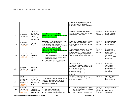|     |                                                                                                    |                                                                                        |                                                                                                                                                                                                                                                                                                                                                       | available; either total inertia WR <sup>2</sup> or<br>inertia constant (H); Grounding<br>information (neutral or phase reactor)                                                                                                                      |                                                     |                                                                                                                               |
|-----|----------------------------------------------------------------------------------------------------|----------------------------------------------------------------------------------------|-------------------------------------------------------------------------------------------------------------------------------------------------------------------------------------------------------------------------------------------------------------------------------------------------------------------------------------------------------|------------------------------------------------------------------------------------------------------------------------------------------------------------------------------------------------------------------------------------------------------|-----------------------------------------------------|-------------------------------------------------------------------------------------------------------------------------------|
| A.2 | Generator /<br><b>Turbine Data</b>                                                                 | Normal and<br>emergency<br>high and low<br>voltage<br>limitations for<br>the generator | Note: This data is critical for<br>successful Real Time Operation of the<br><b>Transmission System.</b>                                                                                                                                                                                                                                               | Maximum and minimum generator<br>terminal voltage limitations for normal<br>and emergency conditions.                                                                                                                                                | Planning<br>and<br>Operations                       | Manufacture data<br>sheets or design<br>data publication.                                                                     |
| A.3 | Generator /<br><b>Turbine Data</b><br>$(MOD-010)$                                                  | Machine<br>design                                                                      | Generator type for induction machines,<br>i.e.: direct connected generator,<br>generator with controlled external<br>resistor, doubly-fed induction generator or<br>generator with power convertor                                                                                                                                                    | Round rotor (nuclear, fossil CT's), salient<br>rotor (hydro units-some slow CT's),<br>induction (wind); design configuration<br>delta or Wye.                                                                                                        | Planning<br>and<br>Operations                       | Manufacture data<br>sheets or design<br>data publication.                                                                     |
| A.4 | Generator /<br><b>Turbine Data</b><br>(MOD-010)                                                    | Generator<br>capability<br>curve                                                       | Note: This data is critical for<br>successful Real Time Operation of the<br><b>Transmission System.</b><br>Variations for factors that affect<br>$\bullet$<br>generator capability such as ambient<br>temperature, gas temperature, and<br>hydrogen pressure.<br>Excitation limiter curves including<br>$\bullet$<br>over and under-excitation limits | Reactive capability curves for at least<br>rating of machine. Several curves<br>usually provided for several hydrogen<br>pressures or cold gas temperatures.<br>VEE curves for at least base capability.                                             | Planning<br>and<br>Operations                       | Manufacture<br>reactive capability<br>curves (usually<br>several curves on<br>same sheet).<br>Manufacture VEE<br>curve sheet. |
| A.5 | Generator /<br><b>Turbine Data</b><br>$(MOD-012)$                                                  | Generator<br>saturation<br>curves                                                      |                                                                                                                                                                                                                                                                                                                                                       | Air gap line curve,<br>No-load saturation curve, Synchronous<br>impedance curve, Saturation at rated<br>armature current curve,<br>Saturation at rated armature current<br>curve-rated pf and<br>Saturation at rated armature current<br>curve-0 pf. | Planning                                            | Manufacture<br>Saturation and<br>synchronous<br>impedance curves<br>(usually all curve on<br>same sheet)                      |
| A.6 | Number of<br>turbines<br>installed (for<br>Wind Farms<br>Only) (MOD-<br>010 and<br><b>MOD-012)</b> | Number of<br>turbine units<br>being installed<br>at plant/wind<br>farm                 | List of each turbine manufacturer and the<br>number of identical turbine/generator<br>units from each manufacturer being<br>installed at plant/wind farm                                                                                                                                                                                              | Customer design plan and G-T<br>interconnection application (one-line,<br>and collector system)                                                                                                                                                      | Planning                                            | Customer layout<br>plan and G-T<br>interconnection<br>application                                                             |
| A.7 | Generator /<br><b>Turbine Data</b><br>(MOD-012 &<br><b>PRC-001)</b>                                | List of<br>installation<br>protection with<br>settings / time                          | Out of Step<br>$\bullet$<br>Tabular over-frequency<br>$\bullet$<br>Tabular under-frequency<br>$\bullet$<br>Voltage and frequency volts/hertz<br>$\bullet$                                                                                                                                                                                             | Under and over frequency tabular<br>$\bullet$<br>data provided frequency limits and<br>time duration.<br>Over Frequency - electrical and<br>$\bullet$                                                                                                | Planning,<br>Operations<br>and System<br>Protection | Manufacture data<br>sheet<br>Customer or<br>consultant                                                                        |

Generating Facility Interconnection Guide 28 28 and 28 Revision 4.0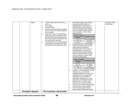| delays                   | Turbine rated and maximum (P <sub>rated</sub><br>$\bullet$<br>and $P_{\text{max}}$ )<br>Over-speed<br>$\bullet$<br><b>Reverse Power</b><br>$\bullet$<br>Synchronizing, along with a notation<br>$\bullet$<br>on the one-line on which breaker(s)<br>this is located<br>Generator Protection responding to<br>$\bullet$<br>faults that require coordination with<br>transmission relaying (any relaying<br>that would require coordination with<br>the transmission relaying)<br>Coordination primary and secondary<br>$\bullet$<br>clearing times associated with step-<br>up transformer and generator faults | mechanical turbine trips), highest<br>steady state high frequency<br>operating point (In the case of a<br>wind generator, high frequency<br>(step) ride through relay settings<br>are also needed. Please see the<br>Over-Frequency Format Table<br>example below:<br><b>Generator terminal</b><br><b>Time Delay for Trip</b><br>frequency<br>57.5 < Hz < 61.5<br>Continuous Operation<br>61.5 < Hz < 62.5<br>30 seconds<br>Hz > 62.5<br>0.02 seconds<br>Under Frequency - electrical and<br>$\bullet$                  | protection relays<br>and settings |
|--------------------------|----------------------------------------------------------------------------------------------------------------------------------------------------------------------------------------------------------------------------------------------------------------------------------------------------------------------------------------------------------------------------------------------------------------------------------------------------------------------------------------------------------------------------------------------------------------------------------------------------------------|-------------------------------------------------------------------------------------------------------------------------------------------------------------------------------------------------------------------------------------------------------------------------------------------------------------------------------------------------------------------------------------------------------------------------------------------------------------------------------------------------------------------------|-----------------------------------|
|                          |                                                                                                                                                                                                                                                                                                                                                                                                                                                                                                                                                                                                                | mechanical turbine trips), lowest<br>steady state low frequency<br>operating point (In the case of a<br>wind generator, low frequency<br>(step) ride through relay settings<br>are also needed. Please see the<br>Under-Frequency Format Table<br>example located below:<br><b>Generator terminal</b><br><b>Time Delay for Trip</b><br>frequency<br>Hz < 56.5<br>0.02 seconds<br>56.5 < Hz < 57.5<br>10 seconds<br>57.5 < Hz < 61.5<br>Continuous Operation                                                             |                                   |
|                          |                                                                                                                                                                                                                                                                                                                                                                                                                                                                                                                                                                                                                | Turbines: Turbine rated (Prated) and<br>$\bullet$<br>maximum $(P_{max})$ real power<br>capability (ideally as a vertical line<br>superimposed on the generator<br>capability curve), including a<br>description of blades (e.g., multi<br>stage, high, intermediate and low<br>pressure, etc), as well as total<br>power (kVA) at rated conditions<br>Type and use of generating voltage<br>$\bullet$<br>and frequency relays installed.<br>Turbine normal and maximum<br>$\bullet$<br>power ratings (Prated and Pmax). |                                   |
| <b>Excitation System</b> | The Customer will provide                                                                                                                                                                                                                                                                                                                                                                                                                                                                                                                                                                                      |                                                                                                                                                                                                                                                                                                                                                                                                                                                                                                                         |                                   |

Generating Facility Interconnection Guide 29 29 and 20 Revision 4.0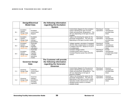|     | <b>Design/Electrical</b><br><b>Model Data</b>      |                                                                      | the following information<br>regarding the Excitation<br><b>System</b>                        |                                                                                                                                                                                                                                  |                          |                                                              |
|-----|----------------------------------------------------|----------------------------------------------------------------------|-----------------------------------------------------------------------------------------------|----------------------------------------------------------------------------------------------------------------------------------------------------------------------------------------------------------------------------------|--------------------------|--------------------------------------------------------------|
| B.1 | Excitation<br>System<br>Design Data<br>(MOD-012)   | Excitation<br>control block<br>diagram                               |                                                                                               | Control block diagram for the excitation<br>system indicating the type of exciter<br>model and parameter designations. This<br>will vary depending on the type of exciter<br>installed.                                          | Planning &<br>Operations | Exciter<br>manufacturer<br>provided data<br>sheet.           |
| B.2 | Excitation<br>System<br>Design Data<br>$(MOD-012)$ | Excitation<br>system<br>settings /<br>parameters                     |                                                                                               | Table or list showing the values for the<br>parameter designations. This will vary<br>depending on the type of exciter model.                                                                                                    | Planning &<br>Operations | Exciter<br>manufacturer<br>provided data<br>sheet.           |
| B.3 | Excitation<br>System<br>Design Data<br>(MOD-012)   | Automatic<br>voltage<br>regulator<br>calculation                     |                                                                                               | Voltage regulator calculation if equipped<br>with line drop compensation to schedule<br>a voltage at the POI. Based on R and X<br>of compensator.                                                                                | Planning &<br>Operations | Exciter<br>manufacturer<br>provided data<br>sheet.           |
| B.4 | Excitation<br>System<br>Design Data<br>$(MOD-012)$ | Automatic<br>voltage<br>regulator<br>available<br>operating<br>modes |                                                                                               | Constant voltage control,<br>Constant power factor control or<br>Constant Reactive power flow (MVAR)<br>control.                                                                                                                 | Planning &<br>Operations | Exciter<br>manufacturer<br>provided data sheet<br>or manual. |
|     |                                                    | <b>Governor Design</b><br><b>Data</b>                                | The Customer will provide<br>the following information<br>regarding the Generator<br>Governor |                                                                                                                                                                                                                                  |                          |                                                              |
| C.1 | Governor<br>Design Data<br>$(MOD-012)$             | Governor<br>control block<br>diagram                                 |                                                                                               | Control block diagram for the governor<br>system indicating the type of governor<br>model and parameter designations. This<br>will vary depending on the type of<br>governor installed.                                          | Planning &<br>Operations | Governor<br>manufacturer<br>provided data<br>sheet.          |
| C.2 | Governor<br>Design Data<br>(MOD-012)               | Governor<br>settings /<br>parameters,<br>including<br>regulation     |                                                                                               | Table or list showing the values for the<br>parameter designations. This will vary<br>depending on the type of exciter model.<br>Operation modes (Isochronous control,<br>standard droop control or constant<br>settable droop). | Planning &<br>Operations | Governor<br>manufacturer<br>provided data<br>sheet.          |

Generating Facility Interconnection Guide 30 30 and 50 Revision 4.0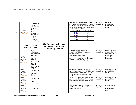| C.3 | Governor<br>Design Data<br>$(MOD-012)$               | <b>Expected Real</b><br>Power<br>response for a<br>range of<br>deviations in<br>frequency<br>(0.05 Hz drop,<br>0.1 Hz drop, .5<br>Hz drop, 1.0<br>Hz drop and<br>$1.5$ Hz drop)<br>(a.k.a. Droop) |                                                                             | Specify droop characteristics, usually<br>provided as percent regulation, but can<br>also be provided as Hz drop. Please see<br>the Governor Design Data Format Table<br>example located below:<br>MW Change<br>Delta Frequency<br>$-0.05$ Hz<br>1.6<br>3.3<br>$-0.10$ Hz<br>$-0.50$ Hz<br>16.4<br>$-1.00$ Hz<br>32.7<br>$-1.50$ Hz<br>54.5 | Planning &<br>Operations | Governor<br>manufacturer<br>provided data<br>sheet.                                              |
|-----|------------------------------------------------------|---------------------------------------------------------------------------------------------------------------------------------------------------------------------------------------------------|-----------------------------------------------------------------------------|---------------------------------------------------------------------------------------------------------------------------------------------------------------------------------------------------------------------------------------------------------------------------------------------------------------------------------------------|--------------------------|--------------------------------------------------------------------------------------------------|
|     |                                                      | <b>Power System</b><br><b>Stabilizer Data</b>                                                                                                                                                     | The Customer will provide<br>the following information<br>regarding the PSS |                                                                                                                                                                                                                                                                                                                                             |                          |                                                                                                  |
| D.1 | Power<br>System<br>Stabilizer<br>Data<br>$(MOD-012)$ | Explicit<br>indication of<br>the installation<br>of a Power<br>system<br>stabilizer<br>$(PSS)$ $(EX:$<br>Installed and<br>On, Not<br>Installed.<br>Installed and<br>$Off)(&$ (Type)               |                                                                             | Is a PSS installed, yes or no?<br>If yes, is the PSS device operating on-<br>line, yes or no?<br>Type of PSS unit installed -<br>manufacturer and model designation<br>(e.g. IEE2ST, IEEEST, PSS1A, PSS2A,<br>PSS2B, PSS3B, PSS4B, etc.)                                                                                                    | Planning &<br>Operations | Owner to provide<br>status and use of<br>PSS based on<br>manufacture<br>provided<br>information. |
| D.2 | Power<br>System<br>Stabilizer<br>Data<br>$(MOD-012)$ | Power system<br>stabilizer<br>control block<br>diagram                                                                                                                                            |                                                                             | Control block diagram for the PSS<br>system indicating the type of PSS model<br>and parameter designations. This will<br>vary depending on the type of PSS<br>installed.                                                                                                                                                                    | Planning &<br>Operations | PSS manufacturer<br>provided data<br>sheet.                                                      |
| D.3 | Power<br>System<br>Stabilizer<br>Data<br>(MOD-012)   | Power system<br>stabilizer<br>settings /<br>parameters                                                                                                                                            |                                                                             | Table or list showing the values for the<br>parameter designations. This will vary<br>depending on the type of exciter model.                                                                                                                                                                                                               | Planning &<br>Operations | PSS manufacturer<br>provided data<br>sheet.                                                      |
| D.4 | Power<br>System<br>Stabilizer<br>Data<br>$(MOD-012)$ | Tuning study                                                                                                                                                                                      |                                                                             | Final or As built setting parameters<br>PSS/exciter are usually provided in<br>tuning study report.                                                                                                                                                                                                                                         | Planning &<br>Operations | Manufacturer or<br>consult hired to<br>perform tuning<br>study                                   |

Generating Facility Interconnection Guide 31 31 Senerating Facility Interconnection Guide 31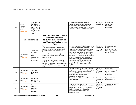| D.5 | Power<br>System<br>Stabilizer<br>Data<br>$(MOD-012)$ | Whether or not<br>the PSS can<br>be taken out of<br>service or is an<br>integral part of<br>the functioning<br>excitation<br>system. |                                                                                                                                                                                                                                                                                                                                                                                                                              | Is the PSS a separate device or<br>equipment that can have a separate<br>status or is it an integral part of the<br>exciter system that can only be taken out<br>of service with the excitation system?                                                                                                                                                                                                                                                                                                                           | Planning &<br>Operations                          | Manufacturer<br>design data or<br>installation<br>information.                             |
|-----|------------------------------------------------------|--------------------------------------------------------------------------------------------------------------------------------------|------------------------------------------------------------------------------------------------------------------------------------------------------------------------------------------------------------------------------------------------------------------------------------------------------------------------------------------------------------------------------------------------------------------------------|-----------------------------------------------------------------------------------------------------------------------------------------------------------------------------------------------------------------------------------------------------------------------------------------------------------------------------------------------------------------------------------------------------------------------------------------------------------------------------------------------------------------------------------|---------------------------------------------------|--------------------------------------------------------------------------------------------|
|     |                                                      | <b>Transformer Data</b>                                                                                                              | The Customer will provide<br>information for the<br>following transformers on<br>the Customer's side of the<br>POI.                                                                                                                                                                                                                                                                                                          |                                                                                                                                                                                                                                                                                                                                                                                                                                                                                                                                   |                                                   |                                                                                            |
| E.1 | Transformer<br>Data<br>$(MOD-010)$                   | Transformer<br>factory test<br>report for<br>rewind.<br>replacement,<br>and<br>modification,<br>etc.                                 | For:<br>- Generator step up (i.e. main station)<br>transformer(s) - transformers between<br>generator and transmission system<br>- Unit / main system / reserve (i.e. station<br>service transformer) auxiliary power<br>transformer(s)<br>- Substation transformer(s) primarily<br>applicable to wind farms but would be<br>true of any site where a collector system<br>less than the POI transmission voltage is<br>used) | No load loss watts, % Exciting current at<br>100% of rated voltage, Load loss watts,<br>% impedance (provided for each group<br>of windings if more than two-winding<br>transformer) along with winding voltage<br>and MVA rating for test, No Load Tap<br>Changer (NLTC) setting, Rated voltages<br>and MVA ratings for each winding, zero<br>impedance test (applicable for multiply<br>winding transformer) under load tap<br>changing range and step size, 3-phase<br>unit or bank of 3 single phase units,<br>serial number. | Planning,<br>Operations<br>& System<br>Protection | Manufacturer test<br>report.<br>Field setting of No<br>Load Tap Changer<br>(NLTC) position |
| E.2 | Transformer<br>Data<br>$(MOD-010)$                   | Nameplate<br>drawing and<br>data                                                                                                     |                                                                                                                                                                                                                                                                                                                                                                                                                              | Winding configurations (delta, Wye, zig-<br>zag) for each winding, winding voltages,<br>winding MVA ratings, % impedance,<br>available NLTC positions, available<br>under load tap changer (ULTC)<br>positions, serial number.                                                                                                                                                                                                                                                                                                    | Planning,<br>Operations<br>& System<br>Protection | Manufacturer<br>nameplate drawing<br>diagram or picture<br>of attached<br>nameplate.       |
| E.3 | Transformer<br>Data<br>$(MOD-010)$                   | Impedance<br>and X/R ratio<br>and base MVA                                                                                           |                                                                                                                                                                                                                                                                                                                                                                                                                              | % impedance, X/R ratio and Base MVA<br>for impedance                                                                                                                                                                                                                                                                                                                                                                                                                                                                              | Planning,<br>Operations<br>& System<br>Protection | Specifications or<br>nameplate if test<br>report not available.                            |
| E.4 | Transformer<br>Data<br>$(MOD-010)$                   | Ratings<br>including<br>exceptions<br>from<br>nameplate                                                                              |                                                                                                                                                                                                                                                                                                                                                                                                                              | OA/FA/FA, OA/FOA/FOA, or<br>ONAN/ONAF/ONAF as well as whether<br>based on 55 ° or 65 ° C or values for<br>both if available, as well as other<br>equipment rating limitations (e.g. CT's<br>bushings, etc.).                                                                                                                                                                                                                                                                                                                      | Planning,<br>Operations<br>& System<br>Protection | Test report and/or<br>Nameplate                                                            |

Generating Facility Interconnection Guide 32 Senerating Facility Interconnection Guide 32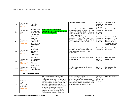| E.5  | Transformer<br>Data<br>$(MOD-010)$                                      | Nameplate<br>voltages                                                                                   |                                                                                                                                                                                                                                                                                                                                                                                                                                                            | Voltages for each winding.                                                                                                                                                                                                                     | Planning,<br>Operations<br>& System<br>Protection   | Test report and/or<br>Nameplate                                                                                                    |
|------|-------------------------------------------------------------------------|---------------------------------------------------------------------------------------------------------|------------------------------------------------------------------------------------------------------------------------------------------------------------------------------------------------------------------------------------------------------------------------------------------------------------------------------------------------------------------------------------------------------------------------------------------------------------|------------------------------------------------------------------------------------------------------------------------------------------------------------------------------------------------------------------------------------------------|-----------------------------------------------------|------------------------------------------------------------------------------------------------------------------------------------|
| E.6  | Transformer<br>Data<br>$(MOD-010)$                                      | Available fixed<br>taps and any<br>under-load tap<br>changing data                                      | Note: This data is critical for<br>successful Real Time Operation of the<br><b>Transmission System.</b>                                                                                                                                                                                                                                                                                                                                                    | Available No load Tap Changer (NLTC)<br>positions and available Under Load Tap<br>Changer (ULTC) if applicable with range<br>and step size (e.g. +/-10% in 16 steps or<br>$+/-5/8\%$ in 16 steps.                                              | Planning.<br>Operations<br>& System<br>Protection   | Test report and/or<br>Nameplate                                                                                                    |
| E.7  | Transformer<br>Data<br>$(MOD-010)$                                      | Proposed or<br>existing no<br>load (fixed) tap<br>setting and<br>any under-load<br>tap changing<br>data |                                                                                                                                                                                                                                                                                                                                                                                                                                                            | Expected or field setting of No Load Tap<br>Changer (NLTC) position. Under Load<br>Tap Changer (ULTC) data ((e.g. +/-10%<br>in 16 steps or $+/-5/8\%$ in 16 steps).                                                                            | Planning,<br>Operations<br>& System<br>Protection   | Transformer field<br>checks of NLTC tap<br>position or setting<br>records. ULTC data<br>either on nameplate<br>and/or test report. |
| E.8  | Transformer<br>Data<br>$(MOD-010)$                                      | Normal and<br>emergency<br>high and low<br>voltage<br>limitations for<br>all windings                   |                                                                                                                                                                                                                                                                                                                                                                                                                                                            | Normal and emergency voltage<br>limitations for each winding including<br>other associated equipment (PT's,<br>bushings etc.).                                                                                                                 | Planning &<br>Operations                            | Test report and/or<br>Nameplate                                                                                                    |
| E.9  | Transformer<br>Data<br>(MOD-010 &<br><b>PRC-001)</b>                    | Any Relaying<br>on the step-up<br>transformer<br>that will<br>respond to<br>system faults               |                                                                                                                                                                                                                                                                                                                                                                                                                                                            | Impedance of Overcurrent Relay types<br>and set points                                                                                                                                                                                         | Planning &<br>System<br>Protection                  | Customer relay<br>setting data                                                                                                     |
| E.10 | Transformer<br>Data<br>(MOD-010)                                        | Winding<br>Configurations                                                                               |                                                                                                                                                                                                                                                                                                                                                                                                                                                            | Configuration (delta, Wye, zig-zag) for<br>each winding.                                                                                                                                                                                       | System<br>Protection                                | Nameplate and/or<br>test report                                                                                                    |
|      |                                                                         | <b>One Line Diagrams</b>                                                                                |                                                                                                                                                                                                                                                                                                                                                                                                                                                            |                                                                                                                                                                                                                                                |                                                     |                                                                                                                                    |
| F.1  | One-line<br>diagram of<br>the<br>Customer's<br>equipment<br>$(MOD-010)$ |                                                                                                         | The Customer will provide one-line<br>diagrams of the interconnection<br>configuration (breakers, switches, etc.)<br>including system auxiliary power facilities<br>and collector bus systems. These one-<br>lines must include information on<br>synchronization location, alternate paths<br>for serving auxiliary loads, current<br>transformer information for step-up<br>transformer and associated breakers<br>(including ratio, accuracy class, and | One-line diagram showing the<br>connection and layout of the customer<br>equipment (Generators, transformers,<br>breakers, disconnect switches, potential<br>transformers, current transformers, etc.)<br>and point of interconnection to ATC. | Planning,<br>Operations<br>and System<br>Protection | Customer one-line<br>diagram                                                                                                       |

Generating Facility Interconnection Guide 33 Senerating Facility Interconnection Guide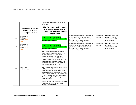|     |                                                                            | burden) and relevant system protection<br>information.                                                                                                                                                                                                                                                                                                                                                                                                                                                                                                                                                                                                                                                                                                                                              |                                                                                                                                                                              |                          |                                                                                     |
|-----|----------------------------------------------------------------------------|-----------------------------------------------------------------------------------------------------------------------------------------------------------------------------------------------------------------------------------------------------------------------------------------------------------------------------------------------------------------------------------------------------------------------------------------------------------------------------------------------------------------------------------------------------------------------------------------------------------------------------------------------------------------------------------------------------------------------------------------------------------------------------------------------------|------------------------------------------------------------------------------------------------------------------------------------------------------------------------------|--------------------------|-------------------------------------------------------------------------------------|
|     | <b>Generator Real and</b><br><b>Reactive Power</b><br><b>Output Levels</b> | The Customer will provide<br>the following Generator<br><b>Gross and Net Real Power</b><br><b>Information</b>                                                                                                                                                                                                                                                                                                                                                                                                                                                                                                                                                                                                                                                                                       |                                                                                                                                                                              |                          |                                                                                     |
| G.1 | Generator/M<br>W Output<br>Level (MOD-<br>010)                             | Note: This data is critical for<br>successful Real Time Operation of the<br><b>Transmission System.</b>                                                                                                                                                                                                                                                                                                                                                                                                                                                                                                                                                                                                                                                                                             | Gross and net maximum and minimum<br>power output based on operating<br>pressures or ambient temperatures<br>including corresponding real and<br>reactive auxiliary load.    | Planning &<br>Operations | Customer to provide<br>either test data or<br>commissioning data<br>or design data. |
| G.2 | Generator/M<br><b>VAR Output</b><br>Level (MOD-<br>025)                    | Note: This data is critical for<br>successful Real Time Operation of the<br><b>Transmission System.</b>                                                                                                                                                                                                                                                                                                                                                                                                                                                                                                                                                                                                                                                                                             | Gross and net maximum and minimum<br>reactive output based on operating<br>pressures or ambient temperatures<br>including corresponding real and<br>reactive auxiliary load. | Planning &<br>Operations | Customer to provide<br>test data,<br>commissioning data<br>or design data.          |
| G.3 | <b>Real Power</b><br><b>Output Levels</b>                                  | The Customer will provide generator<br>gross and net real power output levels by<br>season. Data will be provided as<br>measured gross at the generator<br>terminals and net at the POI. Auxiliary<br>peak loads and running power factor at<br>the POI should also be provided. The<br>data will be supplied for both minimum<br>and nominal generation levels.<br>The following table is an example of what<br>will be completed for each new<br>generating unit to be connected. If the<br>Generating Facility is a combined cycle<br>facility, output levels for both "1 on 1" and<br>"2 on 1" operation will be supplied. Note:<br>This table may look different by<br>generation type.<br>Please see the Generator Provided Real<br>Power Output Level Format Table<br>example located below: |                                                                                                                                                                              |                          |                                                                                     |

#### Generating Facility Interconnection Guide 34 34 Senerating Facility Interconnection Guide 34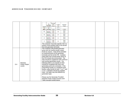|     |                          | <b>Ambient</b><br>Temp<br>(deg F) | <b>Two</b><br>Operating<br><b>Points for</b><br>Each<br>Generator<br>Nominal | Generator<br>Gross<br>Output<br>P(MW)<br>200.0 | Auxiliary<br>Load<br>Aux T1<br>P (MW)                                       | New Plant<br>Output<br>P(MW)<br>185.0                                                     |
|-----|--------------------------|-----------------------------------|------------------------------------------------------------------------------|------------------------------------------------|-----------------------------------------------------------------------------|-------------------------------------------------------------------------------------------|
|     |                          | 95                                | Minimum<br>Nominal                                                           | 100.0<br>210.0                                 | 15                                                                          | 85.0<br>196.0                                                                             |
|     |                          | 59                                | Minimum                                                                      | 110.0                                          | 14                                                                          | 96.0                                                                                      |
|     |                          | 30                                | Nominal<br>Minimum                                                           | 220.0<br>120.0                                 | 13                                                                          | 207.0<br>107.0                                                                            |
|     |                          | $\circ$                           | Nominal<br>Minimum                                                           | 230.0<br>130.0                                 | 12                                                                          | 218.0<br>118.0                                                                            |
|     |                          |                                   |                                                                              |                                                |                                                                             | The customer must also specify if all or a<br>portion of the auxiliary load is not served |
|     |                          |                                   |                                                                              | from the generator terminals.                  |                                                                             |                                                                                           |
|     |                          |                                   |                                                                              |                                                | The Customer will provide generator<br>gross and net reactive power output  |                                                                                           |
|     |                          |                                   |                                                                              |                                                |                                                                             | levels by season. Data will be provided                                                   |
|     |                          |                                   |                                                                              |                                                | as measured gross at the generator                                          | terminals and net at the POI. Auxiliary                                                   |
|     |                          |                                   |                                                                              |                                                | the POI should also be provided. The                                        | peak loads and running power factor at                                                    |
|     |                          |                                   |                                                                              |                                                |                                                                             | data should be supplied for both minimum                                                  |
|     |                          |                                   |                                                                              |                                                | and nominal generation levels. The<br>following table is an example of what |                                                                                           |
| G.4 | Reactive<br>Power Output |                                   |                                                                              |                                                | should be completed with each new                                           |                                                                                           |
|     | Levels                   |                                   |                                                                              |                                                |                                                                             | generating unit to be connected. If the                                                   |
|     |                          |                                   |                                                                              |                                                |                                                                             | Generating Facility is a combined cycle<br>facility, output levels for both "1 on 1" and  |
|     |                          |                                   |                                                                              |                                                | "2 on 1" operation should be supplied.                                      |                                                                                           |
|     |                          |                                   | generation type.                                                             |                                                | Note: This table may look different by                                      |                                                                                           |
|     |                          |                                   |                                                                              |                                                |                                                                             |                                                                                           |
|     |                          |                                   |                                                                              |                                                | Please see the Generator Provided<br>Reactive Power Output Format Level     |                                                                                           |
|     |                          |                                   |                                                                              | Table example located below:                   |                                                                             |                                                                                           |

#### Generating Facility Interconnection Guide 35 Senerating Facility Interconnection Guide 35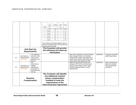|     |                                             |                                                                                               | Ambient         | Two<br>Operating<br>Points for                                                                                                                                  | Generator<br><b>Gross Output</b> | <b>Auxiliary</b><br>Load<br>Aux T1 | <b>New Plant</b><br>Output |                                                                                                                                                                                                           |            |                                                                             |
|-----|---------------------------------------------|-----------------------------------------------------------------------------------------------|-----------------|-----------------------------------------------------------------------------------------------------------------------------------------------------------------|----------------------------------|------------------------------------|----------------------------|-----------------------------------------------------------------------------------------------------------------------------------------------------------------------------------------------------------|------------|-----------------------------------------------------------------------------|
|     |                                             |                                                                                               | Temp (deg<br>F) | Each<br>Generator                                                                                                                                               | Q (MVAR)                         | Q (MVAR)                           | Q (MVAR)                   |                                                                                                                                                                                                           |            |                                                                             |
|     |                                             |                                                                                               | 95              | <b>Nominal</b><br>Minimum                                                                                                                                       | 60.0<br>40.0                     | 3.0                                | 57.0<br>37.0               |                                                                                                                                                                                                           |            |                                                                             |
|     |                                             |                                                                                               | 59              | Nominal<br>Minimum                                                                                                                                              | 70.0<br>50.0                     | 2.0                                | 68.0<br>48.0               |                                                                                                                                                                                                           |            |                                                                             |
|     |                                             |                                                                                               | 30              | Nominal<br>Minimum                                                                                                                                              | 80.0<br>60.0                     | 1.5                                | 78.5<br>58.5               |                                                                                                                                                                                                           |            |                                                                             |
|     |                                             |                                                                                               | $\overline{0}$  | Nominal<br>Minimum                                                                                                                                              | 90.0<br>70.0                     | 1.5                                | 88.5<br>68.5               |                                                                                                                                                                                                           |            |                                                                             |
|     |                                             |                                                                                               |                 | The Customer must also specify if all or a<br>portion of auxiliary load is not served from<br>the generator terminals.                                          |                                  |                                    |                            |                                                                                                                                                                                                           |            |                                                                             |
|     |                                             |                                                                                               |                 | The Customer will provide                                                                                                                                       |                                  |                                    |                            |                                                                                                                                                                                                           |            |                                                                             |
|     | <b>Unit Start-Up</b><br><b>Requirements</b> |                                                                                               |                 | the following Unit Start-up                                                                                                                                     |                                  |                                    |                            |                                                                                                                                                                                                           |            |                                                                             |
|     |                                             |                                                                                               |                 | <b>Information</b>                                                                                                                                              |                                  |                                    |                            |                                                                                                                                                                                                           |            |                                                                             |
| H.1 | Unit Start-Up<br>Requirements<br>(EOP-005)  | The sequence<br>and size of the<br>motors to be<br>started for unit<br>start-up               |                 |                                                                                                                                                                 |                                  |                                    |                            | Motor size, impedance, load and torque<br>data of largest motors to be started<br>including the number and sequence of<br>motors to be started. (Information also<br>used in black start studies as well) | Operations | Customer to provide<br>specific plant data.                                 |
| H.2 | Unit Start-Up<br>Requirements<br>(EOP-005)  | The<br>transmission<br>voltage<br>requirement<br>necessary for<br>successful unit<br>start-up |                 |                                                                                                                                                                 |                                  |                                    |                            | Minimum transmission system bus<br>voltage at POI for the successful unit<br>start-up which relates to the in plant<br>auxiliary voltages based on motor<br>starting limits.                              | Operations | Motor manufacturer<br>data and customer<br>start-up operating<br>procedure. |
|     |                                             | <b>Reactive</b><br><b>Compensation</b>                                                        |                 | The Customer will identify<br>any additional reactive<br>power compensation<br>installed to meet the<br>requirements of the<br><b>Interconnection Agreement</b> |                                  |                                    |                            |                                                                                                                                                                                                           |            |                                                                             |

#### Generating Facility Interconnection Guide 36 36 and Senerating Facility Interconnection Guide 36 and Seneration 4.0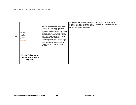| 1.1 | Reactive<br>Compensation<br>System<br>Design<br><b>MOD-010</b><br><b>MOD-012)</b> | The one-line diagrams shall indicate the<br>connection of this additional reactive<br>power compensation. The Customer shall<br>supply the reactive compensation control<br>scheme, such as control block diagrams,<br>logic diagrams, parameters and settings,<br>and the electrical parameters of each<br>reactive compensation device. The<br>design of the Customer's reactive power<br>compensation shall be consistent with the<br>requirements of the Interconnection<br>Agreement (e.g., if a STATCOM is<br>needed). | Usually associated with wind generation<br>installations to supplement the reactive<br>capability of the wind generators to meet<br>system requirements as specified in IA. | Planning &<br>Operations | Manufacturer or<br>consult design data. |
|-----|-----------------------------------------------------------------------------------|------------------------------------------------------------------------------------------------------------------------------------------------------------------------------------------------------------------------------------------------------------------------------------------------------------------------------------------------------------------------------------------------------------------------------------------------------------------------------------------------------------------------------|-----------------------------------------------------------------------------------------------------------------------------------------------------------------------------|--------------------------|-----------------------------------------|
|     | <b>Voltage Schedule and</b><br><b>Automatic Voltage</b><br>Regulator              |                                                                                                                                                                                                                                                                                                                                                                                                                                                                                                                              |                                                                                                                                                                             |                          |                                         |

#### Generating Facility Interconnection Guide **37** 37 **Revision 4.0 Revision 4.0**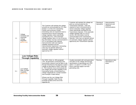| J.1 | Voltage<br>Schedule and<br>Automatic<br>Voltage<br>Regulator<br>$(MOD-012)$ | The Customer will maintain the voltage<br>set point as communicated by ATC (see<br>Section 7.2 of the ATC Generating<br>Facility Interconnection Guide).<br>Generating units are required to have a<br>functional and in-service automatic<br>voltage regulator unless specifically<br>exempted by ATC. If the automatic<br>voltage regulator fails or is out of service,<br>this information must be communicated to<br>ATC in accordance with national,<br>interconnection-wide and regional<br>reliability standards and the<br>Interconnection Agreement. Generating<br>units may not operate without an<br>automatic voltage regulator without<br>approval by ATC. | Customer will maintain the voltage set<br>point as communicated by the<br>Transmission Operator. Units are<br>required to have a functional and in-<br>service automatic voltage regulator<br>unless specifically exempted by the<br>Transmission Operator. If the automatic<br>voltage regulator fails or is out of<br>service, this information must be<br>communicated to the Transmission<br>Operator. Units may not operate without<br>an automatic voltage regulator without<br>approval by the Transmission Operator | Planning &<br>Operations | Interconnection<br>Agreement and<br>customer<br>communications |
|-----|-----------------------------------------------------------------------------|-------------------------------------------------------------------------------------------------------------------------------------------------------------------------------------------------------------------------------------------------------------------------------------------------------------------------------------------------------------------------------------------------------------------------------------------------------------------------------------------------------------------------------------------------------------------------------------------------------------------------------------------------------------------------|-----------------------------------------------------------------------------------------------------------------------------------------------------------------------------------------------------------------------------------------------------------------------------------------------------------------------------------------------------------------------------------------------------------------------------------------------------------------------------------------------------------------------------|--------------------------|----------------------------------------------------------------|
|     | <b>Low Voltage Ride-</b><br><b>Through Capability</b>                       |                                                                                                                                                                                                                                                                                                                                                                                                                                                                                                                                                                                                                                                                         |                                                                                                                                                                                                                                                                                                                                                                                                                                                                                                                             |                          |                                                                |
| K.1 | Low Voltage<br>Ride-Through<br>Capability<br>$(MOD-012)$                    | Per FERC Order no. 693 paragraph<br>1787, all generation connecting to the<br>transmission network must be able to ride<br>through disturbances that depress system<br>voltage as described in FERC Order 661-<br>A. The Customer must communicate the<br>low voltage ride-through capability of the<br>Generating Facility, as described by a<br>voltage magnitude for a certain duration<br>(see example in table below).<br>(Please see the Low Voltage Ride<br>Through Capability Table Format<br>Example located at the end of the<br>Appendix B).                                                                                                                 | Usually associated with wind generation<br>and refers to the voltage ride through<br>specifications of generating unit LVRT<br>option 1 or option 2 or ZVRT, but in<br>future could also apply to all new<br>generating units.                                                                                                                                                                                                                                                                                              | Planning                 | Manufacture data<br>information or<br>sheet.                   |

Generating Facility Interconnection Guide 38 38 and Senerating Facility Interconnection Guide 38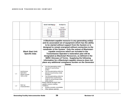|     |                                                 |  | Generator Terminal Voltage (p.u.)                                                                                                                      | <b>Time Delay for Trip</b> |                                                                                                                                                                                                                                                                                                                                                                                                                                                                                                                                                                                                                                                |  |
|-----|-------------------------------------------------|--|--------------------------------------------------------------------------------------------------------------------------------------------------------|----------------------------|------------------------------------------------------------------------------------------------------------------------------------------------------------------------------------------------------------------------------------------------------------------------------------------------------------------------------------------------------------------------------------------------------------------------------------------------------------------------------------------------------------------------------------------------------------------------------------------------------------------------------------------------|--|
|     |                                                 |  | V > 1.15                                                                                                                                               | 1.0 seconds                |                                                                                                                                                                                                                                                                                                                                                                                                                                                                                                                                                                                                                                                |  |
|     |                                                 |  | 0.90 < V < 1.15                                                                                                                                        | Continuous operation       |                                                                                                                                                                                                                                                                                                                                                                                                                                                                                                                                                                                                                                                |  |
|     |                                                 |  | 0.85 < V < 0.90                                                                                                                                        | 15.0 seconds               |                                                                                                                                                                                                                                                                                                                                                                                                                                                                                                                                                                                                                                                |  |
|     |                                                 |  | 0.80 < V < 0.85                                                                                                                                        | 1.00 seconds               |                                                                                                                                                                                                                                                                                                                                                                                                                                                                                                                                                                                                                                                |  |
|     |                                                 |  | 0.15 < V < 0.80                                                                                                                                        | 0.50 seconds               |                                                                                                                                                                                                                                                                                                                                                                                                                                                                                                                                                                                                                                                |  |
|     |                                                 |  | V < 0.15                                                                                                                                               | 0.25 seconds               |                                                                                                                                                                                                                                                                                                                                                                                                                                                                                                                                                                                                                                                |  |
|     | <b>Black Start Unit</b><br><b>Specific Data</b> |  |                                                                                                                                                        |                            | A Blackstart-capable resource is any generating unit(s)<br>and its associated set of equipment which has the ability<br>to be started without support from the System or is<br>designed to remain energized without connection to the<br>remainder of the System. Only the subset of Blackstart-<br>capable resources which are included in the<br>Transmission Operator's restoration plan will be<br>designated as Blackstart Resources, as defined in the<br>NERC Glossary of Terms. Supplying the following<br>information for a Blackstart-capable resource does not<br>place any additional compliance burden on the Generator<br>Owner. |  |
| L.1 | Isochronous<br>Operation:                       |  | Can the generating unit(s)<br>$\bullet$<br>operate in isochronous<br>mode?<br>Can the generating unit(s) be<br>placed in isochronous mode<br>remotely? |                            |                                                                                                                                                                                                                                                                                                                                                                                                                                                                                                                                                                                                                                                |  |
|     | Please answer<br>YES or NO                      |  | Can the generating unit(s) be<br>switched from isochronous<br>mode to normal droop mode<br>while online?                                               |                            |                                                                                                                                                                                                                                                                                                                                                                                                                                                                                                                                                                                                                                                |  |
| L.2 | Start-up<br>Characteristics                     |  | Please indicate the black start-<br>capable resource staffing<br>conditions.<br>Entirely remotely controllable<br>Other (please specify):              |                            |                                                                                                                                                                                                                                                                                                                                                                                                                                                                                                                                                                                                                                                |  |

Generating Facility Interconnection Guide 39 Senerating Facility Interconnection Guide 39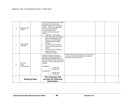| L.3 | Minimum Unit<br>Output               | Please provide the minimum stable<br>net output for the black start-<br>capable resource over the first 30<br>minutes. Include any applicable<br>environmental restrictions.<br>Assume that the unit is<br>synchronized to the grid at 0<br>minutes.<br>MW for $0 - 30$ minutes                        |                                                                                                                                    |  |
|-----|--------------------------------------|--------------------------------------------------------------------------------------------------------------------------------------------------------------------------------------------------------------------------------------------------------------------------------------------------------|------------------------------------------------------------------------------------------------------------------------------------|--|
| L.4 | Unit Loading<br>Capability           | What reasonable incremental<br>load increase (largest load<br>block) can the black start-<br>capable resource initially<br>energize?<br>List the maximum MW/min<br>$\bullet$<br>ramp up rate in isochronous<br>mode?<br>List the maximum MW/min<br>$\bullet$<br>ramp down rate in<br>isochronous mode? |                                                                                                                                    |  |
| L.5 | Reactive<br>Power<br>Characteristics | Please provide the maximum<br>leading and lagging capability of<br>the black start-capable resource<br>when operating at 50% of the rated<br>capacity. See the following format<br>example:<br>90 degrees F<br><b>MVAR</b> lead<br>MVAR lag<br>10 degrees F<br><b>MVAR</b> lead<br>MVAR lag            | Please note that this section is not necessary if<br>D-curves with all limit identified are required<br>elsewhere in the document. |  |
|     | <b>Modeling Data</b>                 | <b>The Customer will</b><br>provide the following<br>Information.                                                                                                                                                                                                                                      |                                                                                                                                    |  |

#### Generating Facility Interconnection Guide **40** ACC Revision 4.0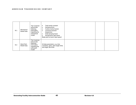| M.1 | Mechanical<br>Model Data | The Customer<br>will provide<br>following<br>information<br>regarding the<br>mechanical<br>model: | Total inertia constant<br>Damping factor<br>$\bullet$<br>Turbine inertia fraction<br>$\bullet$<br>Torsional resonant<br>frequencies<br>Shaft damping factor<br>$\bullet$<br>Aerodynamic gain factor<br>Blade pitch at twice rated speed |  |  |
|-----|--------------------------|---------------------------------------------------------------------------------------------------|-----------------------------------------------------------------------------------------------------------------------------------------------------------------------------------------------------------------------------------------|--|--|
| M.2 | Wind Pitch<br>Model Data | The Customer<br>will provide<br>following<br>information<br>regarding the<br>wind pitch<br>model: | All data parameters, e.g. time<br>constants, gains, pitch angle limits<br>and angle rate limits                                                                                                                                         |  |  |

#### Generating Facility Interconnection Guide **41** All **All Example 20 All According Facility** Interconnection Guide **41**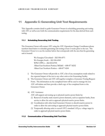# <span id="page-47-0"></span>11 Appendix C: Generating Unit Test Requirements

This Appendix contains detail to guide Generator Owners in scheduling generating unit testing with ATC as well as sets forth the communication requirements for the data derived from such testing.

#### <span id="page-47-1"></span>11.1 Scheduling Generating Unit Testing

The Generator Owner will contact ATC using the ATC Operations Outage Coordinator phone numbers listed below to schedule generating unit testing at least 2 weeks prior to the test. The Generator Owner is to use the number below that corresponds with the area that the generating unit is located:

> We Energies/Cloverland – 262-506-6971 We Energies South – 262-506-6969 WPS/UPPCo – 262-832-8705 Alliant East Southern Portion/MG&E – 608-877-8252 Alliant East Northern Portion – 608-877-8241

- i) The Generator Owner will provide to ATC a list of any assumptions made related to the expected impact of the test to any other units at the Generating Facility.
- ii) The Generator Owner and ATC will together complete a Generator Testing Request Form. The information on the completed form will be used to manage the test. ATC will initiate and then provide a draft copy of the completed form to the Generator Owner.
- iii) ATC Assistance:

ATC will support unit testing up to physical reactive power limits by:

- (1) Removal of nearby static reactive power elements, such as capacitor banks, from service to allow the unit to approach physical reactive power limits.
- (2) Coordination with other local Generator Owners to absorb reactive power in order to allow the unit testing to approach physical reactive power limits.
- (3) Temporarily allowing units to exceed ATC's standard 1.02 p.u. voltage target in order to approach physical reactive power limits.

#### <span id="page-47-2"></span>11.2 Communication of Generating Unit Test Data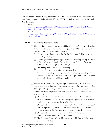The Generator Owner will supply unit test results to ATC using the MRO/RFC format and the ATC Generator Owner Modification Notification (GFMN). Following are links to MRO and RFC documents:

RFC:

[https://rsvp.rfirst.org/MOD025RFC01/Supporting%20Documents/Board\\_Approved\\_](https://rsvp.rfirst.org/MOD025RFC01/Supporting%20Documents/Board_Approved_030311/MOD-025-RFC-01.pdf) [030311/MOD-025-RFC-01.pdf](https://rsvp.rfirst.org/MOD025RFC01/Supporting%20Documents/Board_Approved_030311/MOD-025-RFC-01.pdf) MRO:

[http://www.midwestreliability.org/03\\_reliability/06\\_gtrtf/Documents/MRO\\_Generator](http://www.midwestreliability.org/03_reliability/06_gtrtf/Documents/MRO_Generator_Testing_Guidelines.pdf) Testing Guidelines.pdf

## 11.2.1 Real-Time Operations Data

- (1) The following information is required within one month after the test takes place. ATC will continue to operate to the prior capabilities until the new test results are received at ATC from the Generator Owner.
	- (a) Net and gross real power capability for the Generating Facility as a whole and for each generating unit.
	- (b) Net and gross reactive power capability for the Generating Facility as a whole and for each generating unit. That is, the modified D Curve. Please see Exhibit C.1 for an example of a Capability Curve.
	- (c) The step-up transformer no-load tap setting.
	- (d) A photo of the step-up transformer nameplate data.
	- (e) A statement indicating that the generator terminal voltage operating limits are within 0.95 to 1.05 or, if this is not the case, an explanation of what the limits are and why they are not within 0.95 and 1.05.
- (2) The Generator Owner will also provide gross unit capability data (real and reactive power) at various real power output levels using the capability curve data. This represents a percentage verification of the peak real power data. The Generator Owner will provide the following to ATC within 1 month of the generator test.
	- (a) The Generator Owner is not expected to actually test at all output levels. Instead, the Generator Owner may use engineering judgment to extrapolate results for output levels using the actual results.
	- (b) The Generator Owner will communicate the levels at which the unit is ideally capable of performing; if the unit were the only unit online and was not limited by steam availability, status of other generating facility units, etc.
	- (c) The Generator Owner needs to ensure that other limitations do not exist related to over and under excitation of the unit.
	- (d) The Generator Owner will provide this data in a table format similar to the example provided below.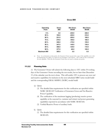|                    |                    | <b>Gross MW</b>                 |                                 |
|--------------------|--------------------|---------------------------------|---------------------------------|
| Operating<br>Point | <b>Gross</b><br>МW | <b>Min Gross</b><br><b>MVAR</b> | <b>Max Gross</b><br><b>MVAR</b> |
| 0%                 | 0.0                | $-230.0$                        | 240.0                           |
| 50 %               | 193.0              | $-220.0$                        | 210.0                           |
| 60%                | 231.0              | $-205.0$                        | 195.0                           |
| 70 %               | 270.0              | $-185.0$                        | 180.0                           |
| 80 %               | 308.0              | $-170.0$                        | 155.0                           |
| 90%                | 347.0              | $-140.0$                        | 130.0                           |
| 95%                | 366.0              | $-125.0$                        | 110.0                           |
| 98 %               | 377.0              | $-80.0$                         | 100.0                           |
| <b>Maximum MW</b>  | 385.0              | 0.0                             | 0.0                             |

(a) Note: As an alternative to data points, the Generator Owner can provide a copy of the capability curve with the limiting lines for URAL, etc. drawn in (see Examples 1 and 2 below). ATC could use this to determine the unit capability. With this, the Generator Owner does not need to calculate any points.

#### 11.2.2 Planning Data

(1) The Generator Owner will submit the following data to ATC within 30 working days of the Generator Owner recording the test results, but no later than December 15 of the calendar year the test is done. This will enable ATC to process any new real and reactive capabilities for inclusion in the next scheduled MRO series model build and the corresponding ERAG-MMWG (NERC) model build:

- (e) Qmax
	- (3) The detailed data requirements for this verification are specified within NERC MOD-025 Verification of Generator Gross and Net Reactive Power Capability.
	- (4) The verification of the maximum lagging (producing) reactive power capability at the seasonal (i.e. summer and winter) real power generating capabilities reported in accordance with NERC MOD-024.
	- (5) Verified Reactive Power of auxiliary loads.
- b) Qmin
	- (1) The detailed data requirements for this verification are specified within MOD-025.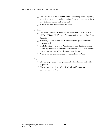- (2) The verification of the maximum leading (absorbing) reactive capability at the Seasonal (summer and winter) Real Power generating capabilities reported in accordance with MOD-024.
- (3) Verified Reactive Power of auxiliary loads.
- c) Pmax
	- (1) The detailed data requirements for this verification as specified within NERC MOD-024 Verification of Generator Gross and Net Real Power Capability.
	- (2) Seasonal (i.e. summer and winter) generating unit gross and net real power capability.
	- (3) A tabular listing by month of Pmax for those units that have variable output dependent on either ambient temperature (combustion turbines) or water levels or run of river dependency (hydro units).
	- (4) Verified real power requirements of auxiliary loads at Pmax.
- b) Pmin
	- (1) The lowest gross real power generation level at which the unit will be dispatched.
	- (2) Verified real power levels of auxiliary loads if different than communicated for Pmax.